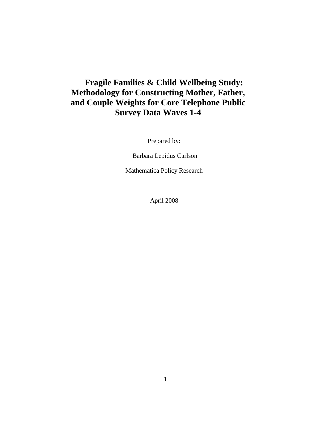# **Fragile Families & Child Wellbeing Study: Methodology for Constructing Mother, Father, and Couple Weights for Core Telephone Public Survey Data Waves 1-4**

Prepared by:

Barbara Lepidus Carlson

Mathematica Policy Research

April 2008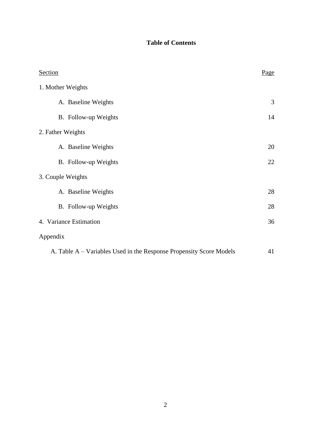## **Table of Contents**

| Section                                                             | Page |
|---------------------------------------------------------------------|------|
| 1. Mother Weights                                                   |      |
| A. Baseline Weights                                                 | 3    |
| B. Follow-up Weights                                                | 14   |
| 2. Father Weights                                                   |      |
| A. Baseline Weights                                                 | 20   |
| B. Follow-up Weights                                                | 22   |
| 3. Couple Weights                                                   |      |
| A. Baseline Weights                                                 | 28   |
| B. Follow-up Weights                                                | 28   |
| 4. Variance Estimation                                              | 36   |
| Appendix                                                            |      |
| A. Table A – Variables Used in the Response Propensity Score Models | 41   |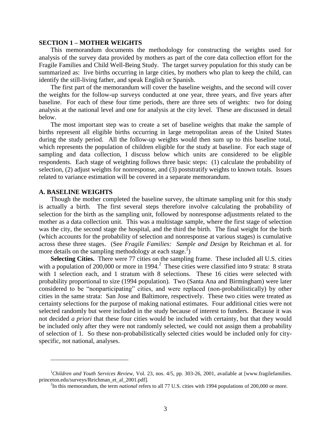#### **SECTION 1 – MOTHER WEIGHTS**

This memorandum documents the methodology for constructing the weights used for analysis of the survey data provided by mothers as part of the core data collection effort for the Fragile Families and Child Well-Being Study. The target survey population for this study can be summarized as: live births occurring in large cities, by mothers who plan to keep the child, can identify the still-living father, and speak English or Spanish.

The first part of the memorandum will cover the baseline weights, and the second will cover the weights for the follow-up surveys conducted at one year, three years, and five years after baseline. For each of these four time periods, there are three sets of weights: two for doing analysis at the national level and one for analysis at the city level. These are discussed in detail below.

The most important step was to create a set of baseline weights that make the sample of births represent all eligible births occurring in large metropolitan areas of the United States during the study period. All the follow-up weights would then sum up to this baseline total, which represents the population of children eligible for the study at baseline. For each stage of sampling and data collection, I discuss below which units are considered to be eligible respondents. Each stage of weighting follows three basic steps: (1) calculate the probability of selection, (2) adjust weights for nonresponse, and (3) poststratify weights to known totals. Issues related to variance estimation will be covered in a separate memorandum.

#### **A. BASELINE WEIGHTS**

 $\overline{a}$ 

Though the mother completed the baseline survey, the ultimate sampling unit for this study is actually a birth. The first several steps therefore involve calculating the probability of selection for the birth as the sampling unit, followed by nonresponse adjustments related to the mother as a data collection unit. This was a multistage sample, where the first stage of selection was the city, the second stage the hospital, and the third the birth. The final weight for the birth (which accounts for the probability of selection and nonresponse at various stages) is cumulative across these three stages. (See *Fragile Families: Sample and Design* by Reichman et al. for more details on the sampling methodology at each stage.<sup>1</sup>)

**Selecting Cities.** There were 77 cities on the sampling frame. These included all U.S. cities with a population of 200,000 or more in 1994.<sup>2</sup> These cities were classified into 9 strata: 8 strata with 1 selection each, and 1 stratum with 8 selections. These 16 cities were selected with probability proportional to size (1994 population). Two (Santa Ana and Birmingham) were later considered to be "nonparticipating" cities, and were replaced (non-probabilistically) by other cities in the same strata: San Jose and Baltimore, respectively. These two cities were treated as certainty selections for the purpose of making national estimates. Four additional cities were not selected randomly but were included in the study because of interest to funders. Because it was not decided *a priori* that these four cities would be included with certainty, but that they would be included only after they were not randomly selected, we could not assign them a probability of selection of 1. So these non-probabilistically selected cities would be included only for cityspecific, not national, analyses.

<sup>1</sup>*Children and Youth Services Review,* Vol. 23, nos. 4/5, pp. 303-26, 2001, available at [www.fragilefamilies. princeton.edu/surveys/Reichman\_et\_al\_2001.pdf].

<sup>&</sup>lt;sup>2</sup>In this memorandum, the term *national* refers to all 77 U.S. cities with 1994 populations of 200,000 or more.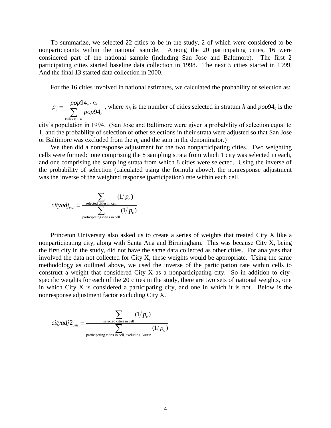To summarize, we selected 22 cities to be in the study, 2 of which were considered to be nonparticipants within the national sample. Among the 20 participating cities, 16 were considered part of the national sample (including San Jose and Baltimore). The first 2 participating cities started baseline data collection in 1998. The next 5 cities started in 1999. And the final 13 started data collection in 2000.

For the 16 cities involved in national estimates, we calculated the probability of selection as:

$$
p_c = \frac{pop94_c \cdot n_h}{\sum_{\text{cities } c \text{ in } h} pop94_c}
$$
, where  $n_h$  is the number of cities selected in stratum *h* and  $pop94_c$  is the

city's population in 1994. (San Jose and Baltimore were given a probability of selection equal to 1, and the probability of selection of other selections in their strata were adjusted so that San Jose or Baltimore was excluded from the  $n_h$  and the sum in the denominator.)

We then did a nonresponse adjustment for the two nonparticipating cities. Two weighting cells were formed: one comprising the 8 sampling strata from which 1 city was selected in each, and one comprising the sampling strata from which 8 cities were selected. Using the inverse of the probability of selection (calculated using the formula above), the nonresponse adjustment was the inverse of the weighted response (participation) rate within each cell.

$$
cityadj_{cell} = \frac{\sum_{\text{selected cities in cell}} (1/p_c)}{\sum_{\text{participating cities in cell}} (1/p_c)}
$$

Princeton University also asked us to create a series of weights that treated City X like a nonparticipating city, along with Santa Ana and Birmingham. This was because City X, being the first city in the study, did not have the same data collected as other cities. For analyses that involved the data not collected for City X, these weights would be appropriate. Using the same methodology as outlined above, we used the inverse of the participation rate within cells to construct a weight that considered City X as a nonparticipating city. So in addition to cityspecific weights for each of the 20 cities in the study, there are two sets of national weights, one in which City X is considered a participating city, and one in which it is not. Below is the nonresponse adjustment factor excluding City X.

$$
cityadj2_{cell} = \frac{\sum_{\text{selected cities in cell}} (1/p_c)}{\sum_{\text{participating cities in cell, excluding Austin}} (1/p_c)}
$$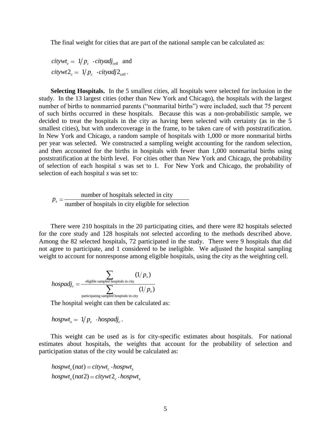The final weight for cities that are part of the national sample can be calculated as:

 $citywt = 1/p_c \cdot cityadj_{cell}$  and  $citywt2_c = 1/p_c \cdot cityadj2_{cell}$ .

**Selecting Hospitals.** In the 5 smallest cities, all hospitals were selected for inclusion in the study. In the 13 largest cities (other than New York and Chicago), the hospitals with the largest number of births to nonmarried parents ("nonmarital births") were included, such that 75 percent of such births occurred in these hospitals. Because this was a non-probabilistic sample, we decided to treat the hospitals in the city as having been selected with certainty (as in the 5 smallest cities), but with undercoverage in the frame, to be taken care of with poststratification. In New York and Chicago, a random sample of hospitals with 1,000 or more nonmarital births per year was selected. We constructed a sampling weight accounting for the random selection, and then accounted for the births in hospitals with fewer than 1,000 nonmarital births using poststratification at the birth level. For cities other than New York and Chicago, the probability of selection of each hospital *s* was set to 1. For New York and Chicago, the probability of selection of each hospital *s* was set to:

number of hospitals selected in city  $p_s = \frac{\text{number of hospitals selected in city}}{\text{number of hospitals in city eligible for selection}}$ 

There were 210 hospitals in the 20 participating cities, and there were 82 hospitals selected for the core study and 128 hospitals not selected according to the methods described above. Among the 82 selected hospitals, 72 participated in the study. There were 9 hospitals that did not agree to participate, and 1 considered to be ineligible. We adjusted the hospital sampling weight to account for nonresponse among eligible hospitals, using the city as the weighting cell.

$$
hospadj_c = \frac{\sum_{\text{eligible sampled hospitals in city}} (1/p_s)}{\sum_{\text{participating sampled hospitals in city}} (1/p_s)}
$$

The hospital weight can then be calculated as:

 $hospwt_s = 1/p_s \cdot hospital_j$ .

This weight can be used as is for city-specific estimates about hospitals. For national estimates about hospitals, the weights that account for the probability of selection and participation status of the city would be calculated as:

 $hospwt_s(nat) = citywt_c \cdot hospwt_s$ <br>  $hospwt_s(nat2) = citywt_2 \cdot hospwt_s$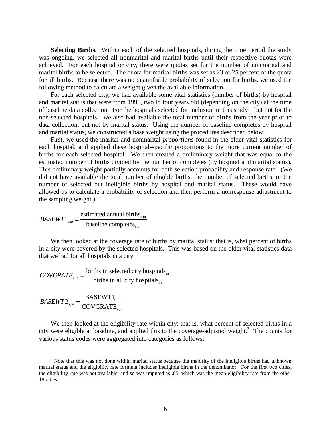**Selecting Births.** Within each of the selected hospitals, during the time period the study was ongoing, we selected all nonmarital and marital births until their respective quotas were achieved. For each hospital or city, there were quotas set for the number of nonmarital and marital births to be selected. The quota for marital births was set as 23 or 25 percent of the quota for all births. Because there was no quantifiable probability of selection for births, we used the following method to calculate a weight given the available information.

For each selected city, we had available some vital statistics (number of births) by hospital and marital status that were from 1996, two to four years old (depending on the city) at the time of baseline data collection. For the hospitals selected for inclusion in this study—but not for the non-selected hospitals—we also had available the total number of births from the year prior to data collection, but not by marital status. Using the number of baseline completes by hospital and marital status, we constructed a base weight using the procedures described below.

First, we used the marital and nonmarital *proportions* found in the older vital statistics for each hospital, and applied these hospital-specific proportions to the more current number of births for each selected hospital. We then created a preliminary weight that was equal to the estimated number of births divided by the number of completes (by hospital and marital status). This preliminary weight partially accounts for both selection probability and response rate. (We did not have available the total number of eligible births, the number of selected births, or the number of selected but ineligible births by hospital and marital status. These would have allowed us to calculate a probability of selection and then perform a nonresponse adjustment to the sampling weight.)

s,m , s,m estimated annual births 1  $BASEWT1_{s,m} = \frac{\text{estimated annual orr}}{\text{baseline completes}}$ 

We then looked at the coverage rate of births by marital status; that is, what percent of births in a city were covered by the selected hospitals. This was based on the older vital statistics data that we had for all hospitals in a city.

 $m = \frac{\text{otherwise in selected city inspirals}_{m}}{\text{births in all either he carrieds}}$ m births in selected city hospitals  $\textit{COVGRATE}_{c,m} = \frac{\text{births in selected city hospital}}{\text{births in all city hospitals}}$ 

s,m , c,m BASEWT1 2  $BASEWT2_{s,m} = \frac{B1B2W11_{s,m}}{COVGRAPH}$ 

 $\overline{a}$ 

We then looked at the eligibility rate within city; that is, what percent of selected births in a city were eligible at baseline, and applied this to the coverage-adjusted weight.<sup>3</sup> The counts for various status codes were aggregated into categories as follows:

<sup>&</sup>lt;sup>3</sup> Note that this was not done within marital status because the majority of the ineligible births had unknown marital status and the eligibility rate formula includes ineligible births in the denominator. For the first two cities, the eligibility rate was not available, and so was imputed as .85, which was the mean eligibility rate from the other 18 cities.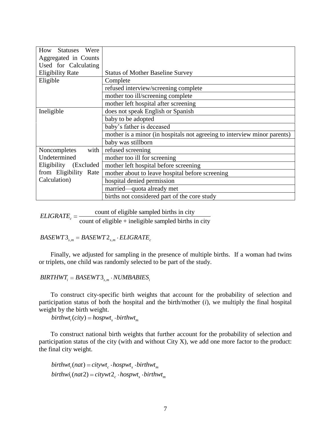| How<br><b>Statuses</b><br>Were |                                                                          |
|--------------------------------|--------------------------------------------------------------------------|
| Aggregated in Counts           |                                                                          |
| Used for Calculating           |                                                                          |
| <b>Eligibility Rate</b>        | <b>Status of Mother Baseline Survey</b>                                  |
| Eligible                       | Complete                                                                 |
|                                | refused interview/screening complete                                     |
|                                | mother too ill/screening complete                                        |
|                                | mother left hospital after screening                                     |
| Ineligible                     | does not speak English or Spanish                                        |
|                                | baby to be adopted                                                       |
|                                | baby's father is deceased                                                |
|                                | mother is a minor (in hospitals not agreeing to interview minor parents) |
|                                | baby was stillborn                                                       |
| Noncompletes<br>with           | refused screening                                                        |
| Undetermined                   | mother too ill for screening                                             |
| Eligibility (Excluded          | mother left hospital before screening                                    |
| from Eligibility Rate          | mother about to leave hospital before screening                          |
| Calculation)                   | hospital denied permission                                               |
|                                | married—quota already met                                                |
|                                | births not considered part of the core study                             |

count of eligible sampled births in city  $ELIGRATE<sub>c</sub> = \frac{\text{count of eligible sampled on this in city}}{\text{count of eligible + in eligible sampled births in city}}$ 

 $BASEWTS_{s,m} = BASEWTZ_{s,m} \cdot ELIGRATE_{c}$ 

Finally, we adjusted for sampling in the presence of multiple births. If a woman had twins or triplets, one child was randomly selected to be part of the study.

 $BIRTHWT_i = BASEWT3_{s,m} \cdot NUMBERIS_i$ 

To construct city-specific birth weights that account for the probability of selection and participation status of both the hospital and the birth/mother (*i*), we multiply the final hospital weight by the birth weight.

 $birthwt_i(city) = hospwt_i \cdot birthwt_m$ 

To construct national birth weights that further account for the probability of selection and participation status of the city (with and without City X), we add one more factor to the product: the final city weight.

 $birthwt_i(nat) = citywt_c \cdot hospwt_s \cdot birthwt_m$ <br>  $birthwt_i(nat2) = citywt_2 \cdot hospwt_s \cdot birthwt_m$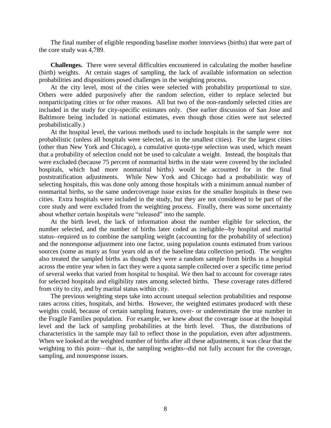The final number of eligible responding baseline mother interviews (births) that were part of the core study was 4,789.

**Challenges.** There were several difficulties encountered in calculating the mother baseline (birth) weights. At certain stages of sampling, the lack of available information on selection probabilities and dispositions posed challenges in the weighting process.

At the city level, most of the cities were selected with probability proportional to size. Others were added purposively after the random selection, either to replace selected but nonparticipating cities or for other reasons. All but two of the non-randomly selected cities are included in the study for city-specific estimates only. (See earlier discussion of San Jose and Baltimore being included in national estimates, even though those cities were not selected probabilistically.)

At the hospital level, the various methods used to include hospitals in the sample were not probabilistic (unless all hospitals were selected, as in the smallest cities). For the largest cities (other than New York and Chicago), a cumulative quota-type selection was used, which meant that a probability of selection could not be used to calculate a weight. Instead, the hospitals that were excluded (because 75 percent of nonmarital births in the state were covered by the included hospitals, which had more nonmarital births) would be accounted for in the final poststratification adjustments. While New York and Chicago had a probabilistic way of selecting hospitals, this was done only among those hospitals with a minimum annual number of nonmarital births, so the same undercoverage issue exists for the smaller hospitals in these two cities. Extra hospitals were included in the study, but they are not considered to be part of the core study and were excluded from the weighting process. Finally, there was some uncertainty about whether certain hospitals were "released" into the sample.

At the birth level, the lack of information about the number eligible for selection, the number selected, and the number of births later coded as ineligible--by hospital and marital status--required us to combine the sampling weight (accounting for the probability of selection) and the nonresponse adjustment into one factor, using population counts estimated from various sources (some as many as four years old as of the baseline data collection period). The weights also treated the sampled births as though they were a random sample from births in a hospital across the entire year when in fact they were a quota sample collected over a specific time period of several weeks that varied from hospital to hospital. We then had to account for coverage rates for selected hospitals and eligibility rates among selected births. These coverage rates differed from city to city, and by marital status within city.

The previous weighting steps take into account unequal selection probabilities and response rates across cities, hospitals, and births. However, the weighted estimates produced with these weights could, because of certain sampling features, over- or underestimate the true number in the Fragile Families population. For example, we knew about the coverage issue at the hospital level and the lack of sampling probabilities at the birth level. Thus, the distributions of characteristics in the sample may fail to reflect those in the population, even after adjustments. When we looked at the weighted number of births after all these adjustments, it was clear that the weighting to this point—that is, the sampling weights--did not fully account for the coverage, sampling, and nonresponse issues.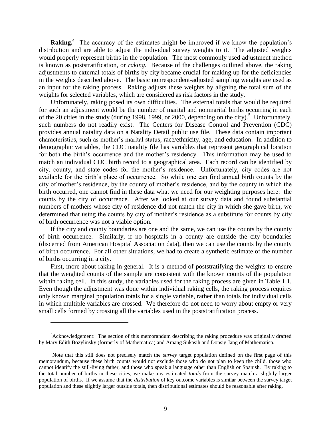**Raking.**<sup>4</sup> The accuracy of the estimates might be improved if we know the population's distribution and are able to adjust the individual survey weights to it. The adjusted weights would properly represent births in the population. The most commonly used adjustment method is known as poststratification, or *raking.* Because of the challenges outlined above, the raking adjustments to external totals of births by city became crucial for making up for the deficiencies in the weights described above. The basic nonrespondent-adjusted sampling weights are used as an input for the raking process. Raking adjusts these weights by aligning the total sum of the weights for selected variables, which are considered as risk factors in the study.

Unfortunately, raking posed its own difficulties. The external totals that would be required for such an adjustment would be the number of marital and nonmarital births occurring in each of the 20 cities in the study (during 1998, 1999, or 2000, depending on the city).<sup>5</sup> Unfortunately, such numbers do not readily exist. The Centers for Disease Control and Prevention (CDC) provides annual natality data on a Natality Detail public use file. These data contain important characteristics, such as mother's marital status, race/ethnicity, age, and education. In addition to demographic variables, the CDC natality file has variables that represent geographical location for both the birth's occurrence and the mother's residency. This information may be used to match an individual CDC birth record to a geographical area. Each record can be identified by city, county, and state codes for the mother's residence. Unfortunately, city codes are not available for the birth's place of occurrence. So while one can find annual birth counts by the city of mother's residence, by the county of mother's residence, and by the county in which the birth occurred, one cannot find in these data what we need for our weighting purposes here: the counts by the city of occurrence. After we looked at our survey data and found substantial numbers of mothers whose city of residence did not match the city in which she gave birth, we determined that using the counts by city of mother's residence as a substitute for counts by city of birth occurrence was not a viable option.

If the city and county boundaries are one and the same, we can use the counts by the county of birth occurrence. Similarly, if no hospitals in a county are outside the city boundaries (discerned from American Hospital Association data), then we can use the counts by the county of birth occurrence. For all other situations, we had to create a synthetic estimate of the number of births occurring in a city.

First, more about raking in general. It is a method of poststratifying the weights to ensure that the weighted counts of the sample are consistent with the known counts of the population within raking cell. In this study, the variables used for the raking process are given in Table 1.1. Even though the adjustment was done within individual raking cells, the raking process requires only known marginal population totals for a single variable, rather than totals for individual cells in which multiple variables are crossed. We therefore do not need to worry about empty or very small cells formed by crossing all the variables used in the poststratification process.

<sup>&</sup>lt;sup>4</sup>Acknowledgement: The section of this memorandum describing the raking procedure was originally drafted by Mary Edith Bozylinsky (formerly of Mathematica) and Amang Sukasih and Donsig Jang of Mathematica.

<sup>5</sup>Note that this still does not precisely match the *survey* target population defined on the first page of this memorandum, because these birth counts would not exclude those who do not plan to keep the child, those who cannot identify the still-living father, and those who speak a language other than English or Spanish. By raking to the total number of births in these cities, we make any estimated *totals* from the survey match a slightly larger population of births. If we assume that the *distribution* of key outcome variables is similar between the survey target population and these slightly larger outside totals, then distributional estimates should be reasonable after raking.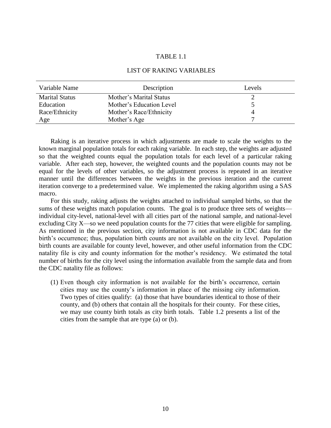## TABLE 1.1

#### LIST OF RAKING VARIABLES

| Variable Name         | Description              | Levels |
|-----------------------|--------------------------|--------|
| <b>Marital Status</b> | Mother's Marital Status  |        |
| Education             | Mother's Education Level |        |
| Race/Ethnicity        | Mother's Race/Ethnicity  | 4      |
| Age                   | Mother's Age             |        |

Raking is an iterative process in which adjustments are made to scale the weights to the known marginal population totals for each raking variable. In each step, the weights are adjusted so that the weighted counts equal the population totals for each level of a particular raking variable. After each step, however, the weighted counts and the population counts may not be equal for the levels of other variables, so the adjustment process is repeated in an iterative manner until the differences between the weights in the previous iteration and the current iteration converge to a predetermined value. We implemented the raking algorithm using a SAS macro.

For this study, raking adjusts the weights attached to individual sampled births, so that the sums of these weights match population counts. The goal is to produce three sets of weights individual city-level, national-level with all cities part of the national sample, and national-level excluding City X—so we need population counts for the 77 cities that were eligible for sampling. As mentioned in the previous section, city information is not available in CDC data for the birth's occurrence; thus, population birth counts are not available on the city level. Population birth counts are available for county level, however, and other useful information from the CDC natality file is city and county information for the mother's residency. We estimated the total number of births for the city level using the information available from the sample data and from the CDC natality file as follows:

(1) Even though city information is not available for the birth's occurrence, certain cities may use the county's information in place of the missing city information. Two types of cities qualify: (a) those that have boundaries identical to those of their county, and (b) others that contain all the hospitals for their county. For these cities, we may use county birth totals as city birth totals. Table 1.2 presents a list of the cities from the sample that are type (a) or (b).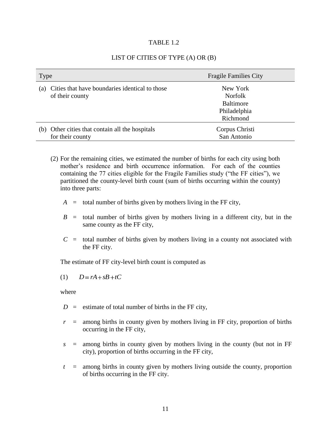#### TABLE 1.2

## LIST OF CITIES OF TYPE (A) OR (B)

| <b>Type</b>                                                              | <b>Fragile Families City</b>                                        |
|--------------------------------------------------------------------------|---------------------------------------------------------------------|
| Cities that have boundaries identical to those<br>(a)<br>of their county | New York<br>Norfolk<br><b>Baltimore</b><br>Philadelphia<br>Richmond |
| Other cities that contain all the hospitals<br>(b)<br>for their county   | Corpus Christi<br>San Antonio                                       |

- (2) For the remaining cities, we estimated the number of births for each city using both mother's residence and birth occurrence information. For each of the counties containing the 77 cities eligible for the Fragile Families study ("the FF cities"), we partitioned the county-level birth count (sum of births occurring within the county) into three parts:
	- $A =$  total number of births given by mothers living in the FF city,
	- $B =$  total number of births given by mothers living in a different city, but in the same county as the FF city,
	- $C =$  total number of births given by mothers living in a county not associated with the FF city.

The estimate of FF city-level birth count is computed as

$$
(1) \qquad D = rA + sB + tC
$$

where

- $D =$  estimate of total number of births in the FF city,
- $r =$  among births in county given by mothers living in FF city, proportion of births occurring in the FF city,
- *s* = among births in county given by mothers living in the county (but not in FF city), proportion of births occurring in the FF city,
- *t* = among births in county given by mothers living outside the county, proportion of births occurring in the FF city.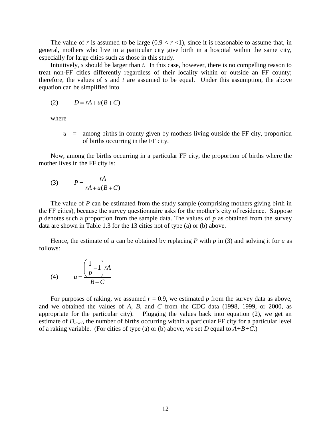The value of *r* is assumed to be large  $(0.9 < r < 1)$ , since it is reasonable to assume that, in general, mothers who live in a particular city give birth in a hospital within the same city, especially for large cities such as those in this study.

Intuitively, *s* should be larger than *t.* In this case, however, there is no compelling reason to treat non-FF cities differently regardless of their locality within or outside an FF county; therefore, the values of *s* and *t* are assumed to be equal. Under this assumption, the above equation can be simplified into

$$
(2) \qquad D = rA + u(B+C)
$$

where

 $u =$  among births in county given by mothers living outside the FF city, proportion of births occurring in the FF city.

Now, among the births occurring in a particular FF city, the proportion of births where the mother lives in the FF city is:

$$
(3) \qquad P = \frac{rA}{rA + u(B+C)}
$$

The value of *P* can be estimated from the study sample (comprising mothers giving birth in the FF cities), because the survey questionnaire asks for the mother's city of residence. Suppose *p* denotes such a proportion from the sample data. The values of *p* as obtained from the survey data are shown in Table 1.3 for the 13 cities not of type (a) or (b) above.

Hence, the estimate of  $u$  can be obtained by replacing  $P$  with  $p$  in (3) and solving it for  $u$  as follows:

$$
(4) \qquad u = \frac{\left(\frac{1}{p} - 1\right) rA}{B + C}
$$

For purposes of raking, we assumed  $r = 0.9$ , we estimated  $p$  from the survey data as above, and we obtained the values of *A*, *B*, and *C* from the CDC data (1998, 1999, or 2000, as appropriate for the particular city). Plugging the values back into equation (2), we get an estimate of  $D_{level}$ , the number of births occurring within a particular FF city for a particular level of a raking variable. (For cities of type (a) or (b) above, we set *D* equal to  $A+B+C$ .)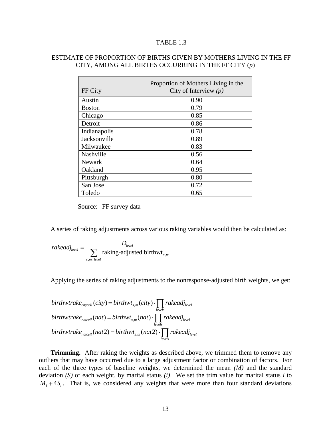## TABLE 1.3

## ESTIMATE OF PROPORTION OF BIRTHS GIVEN BY MOTHERS LIVING IN THE FF CITY, AMONG ALL BIRTHS OCCURRING IN THE FF CITY (*p*)

| FF City       | Proportion of Mothers Living in the<br>City of Interview $(p)$ |
|---------------|----------------------------------------------------------------|
| Austin        | 0.90                                                           |
| <b>Boston</b> | 0.79                                                           |
| Chicago       | 0.85                                                           |
| Detroit       | 0.86                                                           |
| Indianapolis  | 0.78                                                           |
| Jacksonville  | 0.89                                                           |
| Milwaukee     | 0.83                                                           |
| Nashville     | 0.56                                                           |
| <b>Newark</b> | 0.64                                                           |
| Oakland       | 0.95                                                           |
| Pittsburgh    | 0.80                                                           |
| San Jose      | 0.72                                                           |
| Toledo        | 0.65                                                           |

Source: FF survey data

A series of raking adjustments across various raking variables would then be calculated as:

$$
rakedj_{level} = \frac{D_{level}}{\sum_{s,m \in level} raking\text{-adjusted birthwt}_{s,m}}
$$

Applying the series of raking adjustments to the nonresponse-adjusted birth weights, we get:

\n
$$
\text{birthwtrake}_{\text{citycell}}(\text{city}) = \text{birthwt}_{s,m}(\text{city}) \cdot \prod_{\text{levels}} \text{rakedj}_{\text{level}}
$$
\n

\n\n $\text{birthwtrake}_{\text{natedl}}(\text{nat}) = \text{birthwt}_{s,m}(\text{nat}) \cdot \prod_{\text{levels}} \text{rakedj}_{\text{level}}$ \n

\n\n $\text{birthwtrake}_{\text{natedl}}(\text{nat2}) = \text{birthwt}_{s,m}(\text{nat2}) \cdot \prod_{\text{levels}} \text{rakedj}_{\text{level}}$ \n

**Trimming.** After raking the weights as described above, we trimmed them to remove any outliers that may have occurred due to a large adjustment factor or combination of factors. For each of the three types of baseline weights, we determined the mean *(M)* and the standard deviation *(S)* of each weight, by marital status *(i)*. We set the trim value for marital status *i* to  $M_i + 4S_i$ . That is, we considered any weights that were more than four standard deviations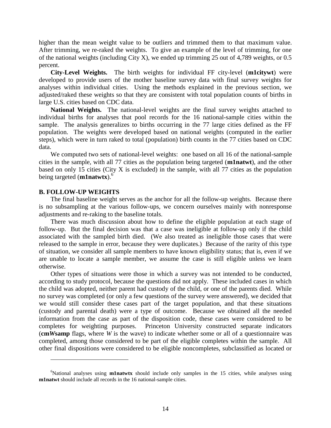higher than the mean weight value to be outliers and trimmed them to that maximum value. After trimming, we re-raked the weights. To give an example of the level of trimming, for one of the national weights (including City X), we ended up trimming 25 out of 4,789 weights, or 0.5 percent.

**City-Level Weights.** The birth weights for individual FF city-level (**m1citywt**) were developed to provide users of the mother baseline survey data with final survey weights for analyses within individual cities. Using the methods explained in the previous section, we adjusted/raked these weights so that they are consistent with total population counts of births in large U.S. cities based on CDC data.

**National Weights.** The national-level weights are the final survey weights attached to individual births for analyses that pool records for the 16 national-sample cities within the sample. The analysis generalizes to births occurring in the 77 large cities defined as the FF population. The weights were developed based on national weights (computed in the earlier steps), which were in turn raked to total (population) birth counts in the 77 cities based on CDC data.

We computed two sets of national-level weights: one based on all 16 of the national-sample cities in the sample, with all 77 cities as the population being targeted (**m1natwt**), and the other based on only 15 cities (City X is excluded) in the sample, with all 77 cities as the population being targeted (**m1natwtx**).<sup>6</sup>

#### **B. FOLLOW-UP WEIGHTS**

 $\overline{a}$ 

The final baseline weight serves as the anchor for all the follow-up weights. Because there is no subsampling at the various follow-ups, we concern ourselves mainly with nonresponse adjustments and re-raking to the baseline totals.

There was much discussion about how to define the eligible population at each stage of follow-up. But the final decision was that a case was ineligible at follow-up only if the child associated with the sampled birth died. (We also treated as ineligible those cases that were released to the sample in error, because they were duplicates.) Because of the rarity of this type of situation, we consider all sample members to have known eligibility status; that is, even if we are unable to locate a sample member, we assume the case is still eligible unless we learn otherwise.

Other types of situations were those in which a survey was not intended to be conducted, according to study protocol, because the questions did not apply. These included cases in which the child was adopted, neither parent had custody of the child, or one of the parents died. While no survey was completed (or only a few questions of the survey were answered), we decided that we would still consider these cases part of the target population, and that these situations (custody and parental death) were a type of outcome. Because we obtained all the needed information from the case as part of the disposition code, these cases were considered to be completes for weighting purposes. Princeton University constructed separate indicators (**cm***W***samp** flags, where *W* is the wave) to indicate whether some or all of a questionnaire was completed, among those considered to be part of the eligible completes within the sample. All other final dispositions were considered to be eligible noncompletes, subclassified as located or

<sup>&</sup>lt;sup>6</sup>National analyses using **m1natwtx** should include only samples in the 15 cities, while analyses using **m1natwt** should include all records in the 16 national-sample cities.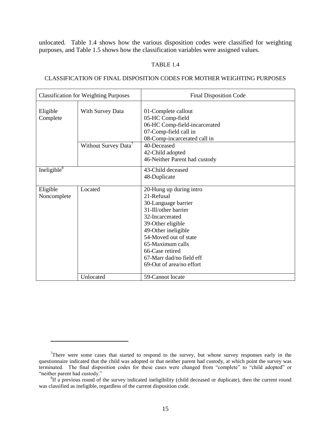unlocated. Table 1.4 shows how the various disposition codes were classified for weighting purposes, and Table 1.5 shows how the classification variables were assigned values.

#### TABLE 1.4

#### CLASSIFICATION OF FINAL DISPOSITION CODES FOR MOTHER WEIGHTING PURPOSES

| <b>Classification for Weighting Purposes</b> |                                  | <b>Final Disposition Code</b>                                                                                                                                                                                                                                               |  |  |
|----------------------------------------------|----------------------------------|-----------------------------------------------------------------------------------------------------------------------------------------------------------------------------------------------------------------------------------------------------------------------------|--|--|
| Eligible<br>With Survey Data<br>Complete     |                                  | 01-Complete callout<br>05-HC Comp-field<br>06-HC Comp-field-incarcerated<br>07-Comp-field call in<br>08-Comp-incarcerated call in                                                                                                                                           |  |  |
|                                              | Without Survey Data <sup>7</sup> | 40-Deceased<br>42-Child adopted<br>46-Neither Parent had custody                                                                                                                                                                                                            |  |  |
| Ineligible $8$                               |                                  | 43-Child deceased<br>48-Duplicate                                                                                                                                                                                                                                           |  |  |
| Eligible<br>Noncomplete                      | Located                          | 20-Hung up during intro<br>21-Refusal<br>30-Language barrier<br>31-Ill/other barrier<br>32-Incarcerated<br>39-Other eligible<br>49-Other ineligible<br>54-Moved out of state<br>65-Maximum calls<br>66-Case retired<br>67-Marr dad/no field eff<br>69-Out of area/no effort |  |  |
|                                              | Unlocated                        | 59-Cannot locate                                                                                                                                                                                                                                                            |  |  |

 $7$ There were some cases that started to respond to the survey, but whose survey responses early in the questionnaire indicated that the child was adopted or that neither parent had custody, at which point the survey was terminated. The final disposition codes for these cases were changed from "complete" to "child adopted" or ―neither parent had custody.‖ 8 If a previous round of the survey indicated ineligibility (child deceased or duplicate), then the current round

was classified as ineligible, regardless of the current disposition code.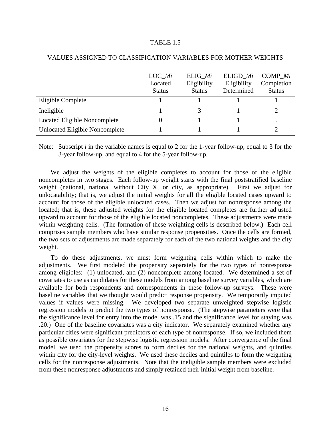#### TABLE 1.5

|                                       | LOC Mi<br>Located<br><b>Status</b> | ELIG Mi<br>Eligibility<br><b>Status</b> | ELIGD Mi<br>Eligibility<br>Determined | COMP Mi<br>Completion<br><b>Status</b> |
|---------------------------------------|------------------------------------|-----------------------------------------|---------------------------------------|----------------------------------------|
| Eligible Complete                     |                                    |                                         |                                       |                                        |
| Ineligible                            |                                    |                                         |                                       |                                        |
| Located Eligible Noncomplete          |                                    |                                         |                                       | ٠                                      |
| <b>Unlocated Eligible Noncomplete</b> |                                    |                                         |                                       |                                        |

#### VALUES ASSIGNED TO CLASSIFICATION VARIABLES FOR MOTHER WEIGHTS

Note: Subscript *i* in the variable names is equal to 2 for the 1-year follow-up, equal to 3 for the 3-year follow-up, and equal to 4 for the 5-year follow-up.

We adjust the weights of the eligible completes to account for those of the eligible noncompletes in two stages. Each follow-up weight starts with the final poststratified baseline weight (national, national without City X, or city, as appropriate). First we adjust for unlocatability; that is, we adjust the initial weights for all the eligible located cases upward to account for those of the eligible unlocated cases. Then we adjust for nonresponse among the located; that is, these adjusted weights for the eligible located completes are further adjusted upward to account for those of the eligible located noncompletes. These adjustments were made within weighting cells. (The formation of these weighting cells is described below.) Each cell comprises sample members who have similar response propensities. Once the cells are formed, the two sets of adjustments are made separately for each of the two national weights and the city weight.

To do these adjustments, we must form weighting cells within which to make the adjustments. We first modeled the propensity separately for the two types of nonresponse among eligibles: (1) unlocated, and (2) noncomplete among located. We determined a set of covariates to use as candidates for these models from among baseline survey variables, which are available for both respondents and nonrespondents in these follow-up surveys. These were baseline variables that we thought would predict response propensity. We temporarily imputed values if values were missing. We developed two separate unweighted stepwise logistic regression models to predict the two types of nonresponse. (The stepwise parameters were that the significance level for entry into the model was .15 and the significance level for staying was .20.) One of the baseline covariates was a city indicator. We separately examined whether any particular cities were significant predictors of each type of nonresponse. If so, we included them as possible covariates for the stepwise logistic regression models. After convergence of the final model, we used the propensity scores to form deciles for the national weights, and quintiles within city for the city-level weights. We used these deciles and quintiles to form the weighting cells for the nonresponse adjustments. Note that the ineligible sample members were excluded from these nonresponse adjustments and simply retained their initial weight from baseline.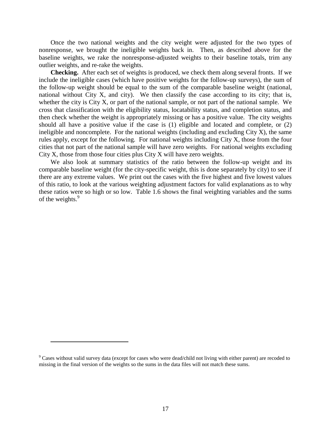Once the two national weights and the city weight were adjusted for the two types of nonresponse, we brought the ineligible weights back in. Then, as described above for the baseline weights, we rake the nonresponse-adjusted weights to their baseline totals, trim any outlier weights, and re-rake the weights.

**Checking.** After each set of weights is produced, we check them along several fronts. If we include the ineligible cases (which have positive weights for the follow-up surveys), the sum of the follow-up weight should be equal to the sum of the comparable baseline weight (national, national without City X, and city). We then classify the case according to its city; that is, whether the city is City X, or part of the national sample, or not part of the national sample. We cross that classification with the eligibility status, locatability status, and completion status, and then check whether the weight is appropriately missing or has a positive value. The city weights should all have a positive value if the case is (1) eligible and located and complete, or (2) ineligible and noncomplete. For the national weights (including and excluding  $City X$ ), the same rules apply, except for the following. For national weights including City X, those from the four cities that not part of the national sample will have zero weights. For national weights excluding City X, those from those four cities plus City X will have zero weights.

We also look at summary statistics of the ratio between the follow-up weight and its comparable baseline weight (for the city-specific weight, this is done separately by city) to see if there are any extreme values. We print out the cases with the five highest and five lowest values of this ratio, to look at the various weighting adjustment factors for valid explanations as to why these ratios were so high or so low. Table 1.6 shows the final weighting variables and the sums of the weights.<sup>9</sup>

<sup>&</sup>lt;sup>9</sup> Cases without valid survey data (except for cases who were dead/child not living with either parent) are recoded to missing in the final version of the weights so the sums in the data files will not match these sums.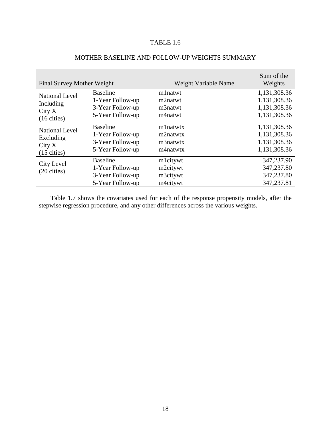## TABLE 1.6

| Final Survey Mother Weight          |                                                                             | Weight Variable Name                         | Sum of the<br>Weights                                |
|-------------------------------------|-----------------------------------------------------------------------------|----------------------------------------------|------------------------------------------------------|
| <b>National Level</b>               | <b>Baseline</b>                                                             | mlnatwt                                      | 1,131,308.36                                         |
| Including                           | 1-Year Follow-up                                                            | m2natwt                                      | 1,131,308.36                                         |
| City X                              | 3-Year Follow-up                                                            | m3natwt                                      | 1,131,308.36                                         |
| $(16 \text{ cities})$               | 5-Year Follow-up                                                            | m4natwt                                      | 1,131,308.36                                         |
| <b>National Level</b>               | <b>Baseline</b>                                                             | mlnatwtx                                     | 1,131,308.36                                         |
| Excluding                           | 1-Year Follow-up                                                            | m2natwtx                                     | 1,131,308.36                                         |
| City X                              | 3-Year Follow-up                                                            | m3natwtx                                     | 1,131,308.36                                         |
| $(15 \text{ cities})$               | 5-Year Follow-up                                                            | m4natwtx                                     | 1,131,308.36                                         |
| City Level<br>$(20 \text{ cities})$ | <b>Baseline</b><br>1-Year Follow-up<br>3-Year Follow-up<br>5-Year Follow-up | mlcitywt<br>m2citywt<br>m3citywt<br>m4citywt | 347,237.90<br>347,237.80<br>347,237.80<br>347,237.81 |

## MOTHER BASELINE AND FOLLOW-UP WEIGHTS SUMMARY

Table 1.7 shows the covariates used for each of the response propensity models, after the stepwise regression procedure, and any other differences across the various weights.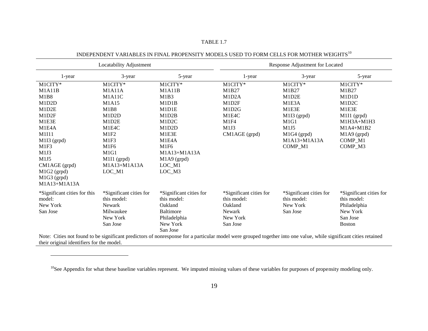| Locatability Adjustment                   |                         | Response Adjustment for Located |                                                                                                                                                                   |                         |                         |
|-------------------------------------------|-------------------------|---------------------------------|-------------------------------------------------------------------------------------------------------------------------------------------------------------------|-------------------------|-------------------------|
| 1-year                                    | 3-year                  | 5-year                          | 1-year                                                                                                                                                            | 3-year                  | 5-year                  |
| M1CITY*                                   | M1CITY*                 | M1CITY*                         | M1CITY*                                                                                                                                                           | M1CITY*                 | M1CITY*                 |
| M1A11B                                    | M1A11A                  | M1A11B                          | M1B27                                                                                                                                                             | M1B27                   | M1B27                   |
| M1B8                                      | M1A11C                  | M1B3                            | M1D2A                                                                                                                                                             | M1D2E                   | M1D1D                   |
| M1D2D                                     | M1A15                   | M1D1B                           | M1D2F                                                                                                                                                             | M1E3A                   | M1D2C                   |
| M1D2E                                     | <b>M1B8</b>             | M1D1E                           | M1D2G                                                                                                                                                             | M1E3E                   | M1E3E                   |
| M1D2F                                     | M1D2D                   | M1D2B                           | M1E4C                                                                                                                                                             | $M1I3$ (grpd)           | M1I1 (grpd)             |
| M1E3E                                     | M1D2E                   | M1D2C                           | M1F4                                                                                                                                                              | M1G1                    | $M1H3A+M1H3$            |
| M1E4A                                     | M1E4C                   | M1D2D                           | M1J3                                                                                                                                                              | M1J5                    | $M1A4+M1B2$             |
| M1I11                                     | M1F2                    | M1E3E                           | CM1AGE (grpd)                                                                                                                                                     | $M1G4$ (grpd)           | M1A9 (grpd)             |
| M1I3 (grpd)                               | M1F3                    | M1E4A                           |                                                                                                                                                                   | M1A13+M1A13A            | COMP_M1                 |
| M1F3                                      | M1F6                    | M1F6                            |                                                                                                                                                                   | COMP M1                 | COMP M3                 |
| M1J3                                      | M1G1                    | M1A13+M1A13A                    |                                                                                                                                                                   |                         |                         |
| M1J5                                      | M1I1 (grpd)             | $M1A9$ (grpd)                   |                                                                                                                                                                   |                         |                         |
| CM1AGE (grpd)                             | M1A13+M1A13A            | LOC_M1                          |                                                                                                                                                                   |                         |                         |
| M1G2 (grpd)                               | LOC_M1                  | $LOC_M3$                        |                                                                                                                                                                   |                         |                         |
| M1G3 (grpd)                               |                         |                                 |                                                                                                                                                                   |                         |                         |
| M1A13+M1A13A                              |                         |                                 |                                                                                                                                                                   |                         |                         |
| *Significant cities for this              | *Significant cities for | *Significant cities for         | *Significant cities for                                                                                                                                           | *Significant cities for | *Significant cities for |
| model:                                    | this model:             | this model:                     | this model:                                                                                                                                                       | this model:             | this model:             |
| New York                                  | Newark                  | Oakland                         | Oakland                                                                                                                                                           | New York                | Philadelphia            |
| San Jose                                  | Milwaukee               | <b>Baltimore</b>                | <b>Newark</b>                                                                                                                                                     | San Jose                | New York                |
|                                           | New York                | Philadelphia                    | New York                                                                                                                                                          |                         | San Jose                |
|                                           | San Jose                | New York                        | San Jose                                                                                                                                                          |                         | <b>Boston</b>           |
|                                           |                         | San Jose                        |                                                                                                                                                                   |                         |                         |
|                                           |                         |                                 | Note: Cities not found to be significant predictors of nonresponse for a particular model were grouped together into one value, while significant cities retained |                         |                         |
| their original identifiers for the model. |                         |                                 |                                                                                                                                                                   |                         |                         |

## INDEPENDENT VARIABLES IN FINAL PROPENSITY MODELS USED TO FORM CELLS FOR MOTHER WEIGHTS $^{10}$

TABLE 1.7

 $\overline{a}$ 

<sup>10</sup>See Appendix for what these baseline variables represent. We imputed missing values of these variables for purposes of propensity modeling only.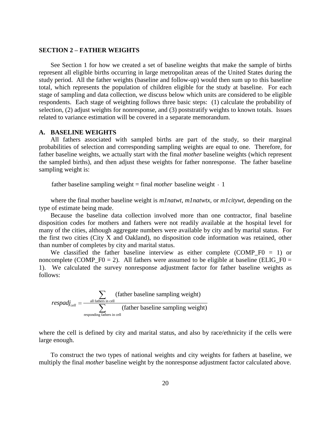#### **SECTION 2 – FATHER WEIGHTS**

See Section 1 for how we created a set of baseline weights that make the sample of births represent all eligible births occurring in large metropolitan areas of the United States during the study period. All the father weights (baseline and follow-up) would then sum up to this baseline total, which represents the population of children eligible for the study at baseline. For each stage of sampling and data collection, we discuss below which units are considered to be eligible respondents. Each stage of weighting follows three basic steps: (1) calculate the probability of selection, (2) adjust weights for nonresponse, and (3) poststratify weights to known totals. Issues related to variance estimation will be covered in a separate memorandum.

#### **A. BASELINE WEIGHTS**

All fathers associated with sampled births are part of the study, so their marginal probabilities of selection and corresponding sampling weights are equal to one. Therefore, for father baseline weights, we actually start with the final *mother* baseline weights (which represent the sampled births), and then adjust these weights for father nonresponse. The father baseline sampling weight is:

father baseline sampling weight  $=$  final *mother* baseline weight  $\cdot$  1

where the final mother baseline weight is *m1natwt*, *m1natwtx*, or *m1citywt*, depending on the type of estimate being made.

Because the baseline data collection involved more than one contractor, final baseline disposition codes for mothers and fathers were not readily available at the hospital level for many of the cities, although aggregate numbers were available by city and by marital status. For the first two cities (City X and Oakland), no disposition code information was retained, other than number of completes by city and marital status.

We classified the father baseline interview as either complete  $(COMP_F0 = 1)$  or noncomplete (COMP\_F0 = 2). All fathers were assumed to be eligible at baseline (ELIG\_F0 = 1). We calculated the survey nonresponse adjustment factor for father baseline weights as follows:

$$
respadj_{cell} = \frac{\sum_{all \text{ fathers in cell}} (father baseline sampling weight)}{\sum_{responding \text{ fathers in cell}} (father baseline sampling weight)}
$$

where the cell is defined by city and marital status, and also by race/ethnicity if the cells were large enough.

To construct the two types of national weights and city weights for fathers at baseline, we multiply the final *mother* baseline weight by the nonresponse adjustment factor calculated above.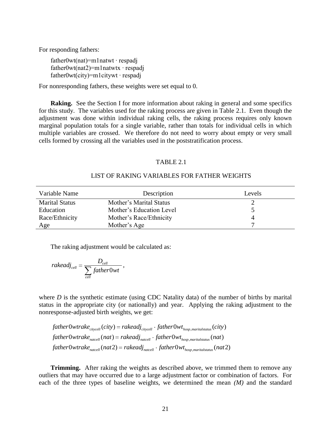For responding fathers:

father0wt(nat)=m1natwt ∙ respadj father0wt(nat2)=m1natwtx ∙ respadj father0wt(city)=m1citywt ∙ respadj

For nonresponding fathers, these weights were set equal to 0.

**Raking.** See the Section I for more information about raking in general and some specifics for this study. The variables used for the raking process are given in Table 2.1. Even though the adjustment was done within individual raking cells, the raking process requires only known marginal population totals for a single variable, rather than totals for individual cells in which multiple variables are crossed. We therefore do not need to worry about empty or very small cells formed by crossing all the variables used in the poststratification process.

#### TABLE 2.1

#### LIST OF RAKING VARIABLES FOR FATHER WEIGHTS

| Variable Name         | Description              | Levels |
|-----------------------|--------------------------|--------|
| <b>Marital Status</b> | Mother's Marital Status  |        |
| Education             | Mother's Education Level |        |
| Race/Ethnicity        | Mother's Race/Ethnicity  |        |
| Age                   | Mother's Age             |        |

The raking adjustment would be calculated as:

$$
\textit{rakedj}_{\textit{cell}} = \frac{D_{\textit{cell}}}{\displaystyle\sum_{\textit{cell}}\textit{father0wt}}\,,
$$

where *D* is the synthetic estimate (using CDC Natality data) of the number of births by marital status in the appropriate city (or nationally) and year. Applying the raking adjustment to the nonresponse-adjusted birth weights, we get:

 $\int$ father0wtrake<sub>citycell</sub> (city) = rakeadj<sub>citycell</sub>  $\cdot$  father0wt<sub>hosp</sub> maritalstatus</sub> (city)  $father0wtrake_{nateell} (nat) = rakeadj_{nateell} \cdot father0wt_{hosp, marital status} (nat)$ *father Wwtrake <sub>citycell</sub> (city)* = rakeadj <sub>citycell</sub> · father Wvt <sub>hosp</sub> <sub>, marital status</sub> (city)<br>father Wvtrake <sub>natcell</sub> (nat) = rakeadj <sub>natcell</sub> · father Wvt <sub>hosp</sub> <sub>, marital status</sub> (nat)<br>father Wvtrake <sub>natcell</sub>

**Trimming.** After raking the weights as described above, we trimmed them to remove any outliers that may have occurred due to a large adjustment factor or combination of factors. For each of the three types of baseline weights, we determined the mean *(M)* and the standard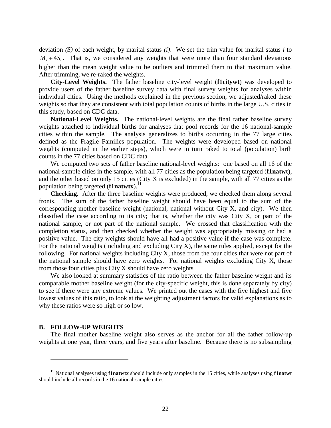deviation *(S)* of each weight, by marital status *(i)*. We set the trim value for marital status *i* to  $M_i + 4S_i$ . That is, we considered any weights that were more than four standard deviations higher than the mean weight value to be outliers and trimmed them to that maximum value. After trimming, we re-raked the weights.

**City-Level Weights.** The father baseline city-level weight (**f1citywt**) was developed to provide users of the father baseline survey data with final survey weights for analyses within individual cities. Using the methods explained in the previous section, we adjusted/raked these weights so that they are consistent with total population counts of births in the large U.S. cities in this study, based on CDC data.

**National-Level Weights.** The national-level weights are the final father baseline survey weights attached to individual births for analyses that pool records for the 16 national-sample cities within the sample. The analysis generalizes to births occurring in the 77 large cities defined as the Fragile Families population. The weights were developed based on national weights (computed in the earlier steps), which were in turn raked to total (population) birth counts in the 77 cities based on CDC data.

We computed two sets of father baseline national-level weights: one based on all 16 of the national-sample cities in the sample, with all 77 cities as the population being targeted (**f1natwt**), and the other based on only 15 cities (City X is excluded) in the sample, with all 77 cities as the population being targeted (**f1natwtx**).<sup>11</sup>

**Checking.** After the three baseline weights were produced, we checked them along several fronts. The sum of the father baseline weight should have been equal to the sum of the corresponding mother baseline weight (national, national without City X, and city). We then classified the case according to its city; that is, whether the city was City X, or part of the national sample, or not part of the national sample. We crossed that classification with the completion status, and then checked whether the weight was appropriately missing or had a positive value. The city weights should have all had a positive value if the case was complete. For the national weights (including and excluding City X), the same rules applied, except for the following. For national weights including City X, those from the four cities that were not part of the national sample should have zero weights. For national weights excluding City X, those from those four cities plus City X should have zero weights.

We also looked at summary statistics of the ratio between the father baseline weight and its comparable mother baseline weight (for the city-specific weight, this is done separately by city) to see if there were any extreme values. We printed out the cases with the five highest and five lowest values of this ratio, to look at the weighting adjustment factors for valid explanations as to why these ratios were so high or so low.

#### **B. FOLLOW-UP WEIGHTS**

 $\overline{a}$ 

The final mother baseline weight also serves as the anchor for all the father follow-up weights at one year, three years, and five years after baseline. Because there is no subsampling

<sup>11</sup> National analyses using **f1natwtx** should include only samples in the 15 cities, while analyses using **f1natwt** should include all records in the 16 national-sample cities.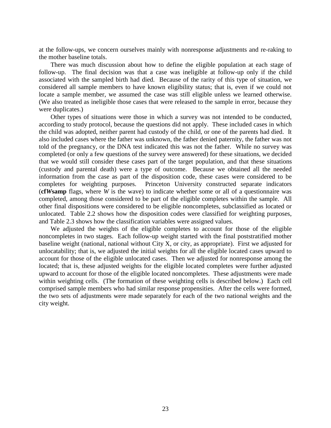at the follow-ups, we concern ourselves mainly with nonresponse adjustments and re-raking to the mother baseline totals.

There was much discussion about how to define the eligible population at each stage of follow-up. The final decision was that a case was ineligible at follow-up only if the child associated with the sampled birth had died. Because of the rarity of this type of situation, we considered all sample members to have known eligibility status; that is, even if we could not locate a sample member, we assumed the case was still eligible unless we learned otherwise. (We also treated as ineligible those cases that were released to the sample in error, because they were duplicates.)

Other types of situations were those in which a survey was not intended to be conducted, according to study protocol, because the questions did not apply. These included cases in which the child was adopted, neither parent had custody of the child, or one of the parents had died. It also included cases where the father was unknown, the father denied paternity, the father was not told of the pregnancy, or the DNA test indicated this was not the father. While no survey was completed (or only a few questions of the survey were answered) for these situations, we decided that we would still consider these cases part of the target population, and that these situations (custody and parental death) were a type of outcome. Because we obtained all the needed information from the case as part of the disposition code, these cases were considered to be completes for weighting purposes. Princeton University constructed separate indicators (**cf***W***samp** flags, where *W* is the wave) to indicate whether some or all of a questionnaire was completed, among those considered to be part of the eligible completes within the sample. All other final dispositions were considered to be eligible noncompletes, subclassified as located or unlocated. Table 2.2 shows how the disposition codes were classified for weighting purposes, and Table 2.3 shows how the classification variables were assigned values.

We adjusted the weights of the eligible completes to account for those of the eligible noncompletes in two stages. Each follow-up weight started with the final poststratified mother baseline weight (national, national without City X, or city, as appropriate). First we adjusted for unlocatability; that is, we adjusted the initial weights for all the eligible located cases upward to account for those of the eligible unlocated cases. Then we adjusted for nonresponse among the located; that is, these adjusted weights for the eligible located completes were further adjusted upward to account for those of the eligible located noncompletes. These adjustments were made within weighting cells. (The formation of these weighting cells is described below.) Each cell comprised sample members who had similar response propensities. After the cells were formed, the two sets of adjustments were made separately for each of the two national weights and the city weight.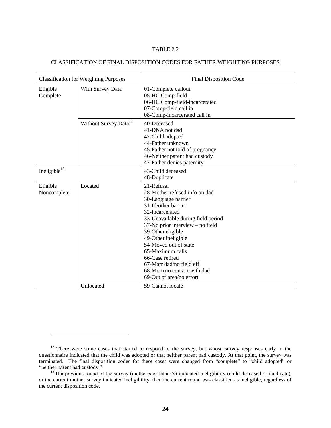#### TABLE 2.2

#### CLASSIFICATION OF FINAL DISPOSITION CODES FOR FATHER WEIGHTING PURPOSES

| <b>Classification for Weighting Purposes</b> |                                   | <b>Final Disposition Code</b>                                                                                                                                                                                                                                                                                                                                                             |  |  |
|----------------------------------------------|-----------------------------------|-------------------------------------------------------------------------------------------------------------------------------------------------------------------------------------------------------------------------------------------------------------------------------------------------------------------------------------------------------------------------------------------|--|--|
| Eligible<br>Complete                         | With Survey Data                  | 01-Complete callout<br>05-HC Comp-field<br>06-HC Comp-field-incarcerated<br>07-Comp-field call in<br>08-Comp-incarcerated call in                                                                                                                                                                                                                                                         |  |  |
|                                              | Without Survey Data <sup>12</sup> | 40-Deceased<br>41-DNA not dad<br>42-Child adopted<br>44-Father unknown<br>45-Father not told of pregnancy<br>46-Neither parent had custody<br>47-Father denies paternity                                                                                                                                                                                                                  |  |  |
| Ineligible <sup>13</sup>                     |                                   | 43-Child deceased<br>48-Duplicate                                                                                                                                                                                                                                                                                                                                                         |  |  |
| Eligible<br>Noncomplete                      | Located                           | 21-Refusal<br>28-Mother refused info on dad<br>30-Language barrier<br>31-Ill/other barrier<br>32-Incarcerated<br>33-Unavailable during field period<br>37-No prior interview – no field<br>39-Other eligible<br>49-Other ineligible<br>54-Moved out of state<br>65-Maximum calls<br>66-Case retired<br>67-Marr dad/no field eff<br>68-Mom no contact with dad<br>69-Out of area/no effort |  |  |
|                                              | Unlocated                         | 59-Cannot locate                                                                                                                                                                                                                                                                                                                                                                          |  |  |

<sup>&</sup>lt;sup>12</sup> There were some cases that started to respond to the survey, but whose survey responses early in the questionnaire indicated that the child was adopted or that neither parent had custody. At that point, the survey was terminated. The final disposition codes for these cases were changed from "complete" to "child adopted" or "neither parent had custody."

<sup>&</sup>lt;sup>13</sup> If a previous round of the survey (mother's or father's) indicated ineligibility (child deceased or duplicate), or the current mother survey indicated ineligibility, then the current round was classified as ineligible, regardless of the current disposition code.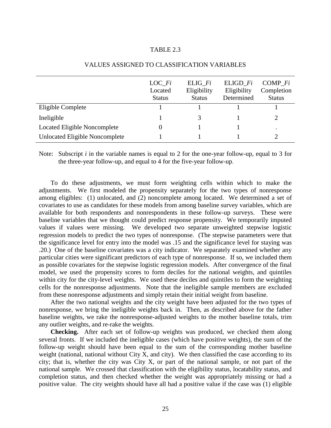#### TABLE 2.3

|                                       | LOC Fi<br>Located<br><b>Status</b> | ELIG Fi<br>Eligibility<br><b>Status</b> | ELIGD Fi<br>Eligibility<br>Determined | COMP Fi<br>Completion<br><b>Status</b> |
|---------------------------------------|------------------------------------|-----------------------------------------|---------------------------------------|----------------------------------------|
| Eligible Complete                     |                                    |                                         |                                       |                                        |
| Ineligible                            |                                    |                                         |                                       |                                        |
| Located Eligible Noncomplete          |                                    |                                         |                                       | $\bullet$                              |
| <b>Unlocated Eligible Noncomplete</b> |                                    |                                         |                                       |                                        |

#### VALUES ASSIGNED TO CLASSIFICATION VARIABLES

Note: Subscript *i* in the variable names is equal to 2 for the one-year follow-up, equal to 3 for the three-year follow-up, and equal to 4 for the five-year follow-up.

To do these adjustments, we must form weighting cells within which to make the adjustments. We first modeled the propensity separately for the two types of nonresponse among eligibles: (1) unlocated, and (2) noncomplete among located. We determined a set of covariates to use as candidates for these models from among baseline survey variables, which are available for both respondents and nonrespondents in these follow-up surveys. These were baseline variables that we thought could predict response propensity. We temporarily imputed values if values were missing. We developed two separate unweighted stepwise logistic regression models to predict the two types of nonresponse. (The stepwise parameters were that the significance level for entry into the model was .15 and the significance level for staying was .20.) One of the baseline covariates was a city indicator. We separately examined whether any particular cities were significant predictors of each type of nonresponse. If so, we included them as possible covariates for the stepwise logistic regression models. After convergence of the final model, we used the propensity scores to form deciles for the national weights, and quintiles within city for the city-level weights. We used these deciles and quintiles to form the weighting cells for the nonresponse adjustments. Note that the ineligible sample members are excluded from these nonresponse adjustments and simply retain their initial weight from baseline.

After the two national weights and the city weight have been adjusted for the two types of nonresponse, we bring the ineligible weights back in. Then, as described above for the father baseline weights, we rake the nonresponse-adjusted weights to the mother baseline totals, trim any outlier weights, and re-rake the weights.

**Checking.** After each set of follow-up weights was produced, we checked them along several fronts. If we included the ineligible cases (which have positive weights), the sum of the follow-up weight should have been equal to the sum of the corresponding mother baseline weight (national, national without City X, and city). We then classified the case according to its city; that is, whether the city was City X, or part of the national sample, or not part of the national sample. We crossed that classification with the eligibility status, locatability status, and completion status, and then checked whether the weight was appropriately missing or had a positive value. The city weights should have all had a positive value if the case was (1) eligible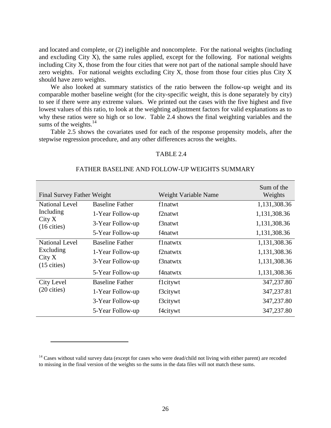and located and complete, or (2) ineligible and noncomplete. For the national weights (including and excluding City X), the same rules applied, except for the following. For national weights including City X, those from the four cities that were not part of the national sample should have zero weights. For national weights excluding City X, those from those four cities plus City X should have zero weights.

We also looked at summary statistics of the ratio between the follow-up weight and its comparable mother baseline weight (for the city-specific weight, this is done separately by city) to see if there were any extreme values. We printed out the cases with the five highest and five lowest values of this ratio, to look at the weighting adjustment factors for valid explanations as to why these ratios were so high or so low. Table 2.4 shows the final weighting variables and the sums of the weights. $14$ 

Table 2.5 shows the covariates used for each of the response propensity models, after the stepwise regression procedure, and any other differences across the weights.

#### TABLE 2.4

#### FATHER BASELINE AND FOLLOW-UP WEIGHTS SUMMARY

| Final Survey Father Weight      |                        | Weight Variable Name | Sum of the<br>Weights |
|---------------------------------|------------------------|----------------------|-----------------------|
| <b>National Level</b>           | <b>Baseline Father</b> | f1natwt              | 1,131,308.36          |
| Including                       | 1-Year Follow-up       | f2natwt              | 1,131,308.36          |
| City X<br>$(16 \text{ cities})$ | 3-Year Follow-up       | f3natwt              | 1,131,308.36          |
|                                 | 5-Year Follow-up       | f4natwt              | 1,131,308.36          |
| <b>National Level</b>           | <b>Baseline Father</b> | f1natwtx             | 1,131,308.36          |
| Excluding                       | 1-Year Follow-up       | f2natwtx             | 1,131,308.36          |
| City X<br>$(15 \text{ cities})$ | 3-Year Follow-up       | f3natwtx             | 1,131,308.36          |
|                                 | 5-Year Follow-up       | f4natwtx             | 1,131,308.36          |
| City Level                      | <b>Baseline Father</b> | flcitywt             | 347,237.80            |
| $(20 \text{ cities})$           | 1-Year Follow-up       | f3citywt             | 347, 237.81           |
|                                 | 3-Year Follow-up       | f3citywt             | 347,237.80            |
|                                 | 5-Year Follow-up       | f4citywt             | 347,237.80            |

 $14$  Cases without valid survey data (except for cases who were dead/child not living with either parent) are recoded to missing in the final version of the weights so the sums in the data files will not match these sums.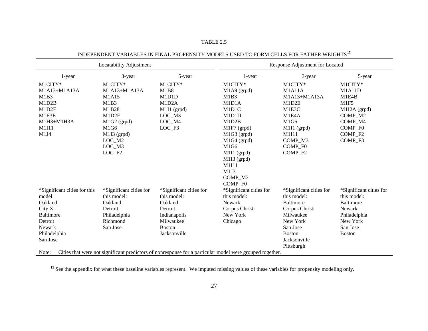| Locatability Adjustment      |                         |                         |                                                                                                          | Response Adjustment for Located |                         |
|------------------------------|-------------------------|-------------------------|----------------------------------------------------------------------------------------------------------|---------------------------------|-------------------------|
| 1-year                       | 3-year                  | 5-year                  | 1-year                                                                                                   | 3-year                          | 5-year                  |
| M1CITY*                      | M1CITY*                 | M1CITY*                 | M1CITY*                                                                                                  | M1CITY*                         | M1CITY*                 |
| $M1A13+M1A13A$               | M1A13+M1A13A            | M1B8                    | M1A9 (grpd)                                                                                              | M1A11A                          | M1A11D                  |
| M1B3                         | M1A15                   | M1D1D                   | M1B3                                                                                                     | M1A13+M1A13A                    | M1E4B                   |
| M1D2B                        | M1B3                    | M1D2A                   | M1D1A                                                                                                    | M1D2E                           | M1F5                    |
| M1D2F                        | M1B28                   | M1I1 (grpd)             | M1D1C                                                                                                    | M1E3C                           | M1I2A (grpd)            |
| M1E3E                        | M1D2F                   | LOC M3                  | M1D1D                                                                                                    | M1E4A                           | COMP_M2                 |
| M1H3+M1H3A                   | M1G2 (grpd)             | LOC_M4                  | M1D2B                                                                                                    | M1G6                            | COMP_M4                 |
| M1I11                        | M1G6                    | LOC F3                  | $M1F7$ (grpd)                                                                                            | M1I1 (grpd)                     | COMP F0                 |
| M1J4                         | M1I3 (grpd)             |                         | M1G3 (grpd)                                                                                              | M1I11                           | COMP <sub>F2</sub>      |
|                              | LOC_M2                  |                         | $M1G4$ (grpd)                                                                                            | COMP_M3                         | COMP_F3                 |
|                              | LOC M3                  |                         | M1G6                                                                                                     | COMP F <sub>0</sub>             |                         |
|                              | LOC F2                  |                         | M1I1 (grpd)                                                                                              | COMP <sub>F2</sub>              |                         |
|                              |                         |                         | M1I3 (grpd)                                                                                              |                                 |                         |
|                              |                         |                         | M1I11                                                                                                    |                                 |                         |
|                              |                         |                         | M1J3                                                                                                     |                                 |                         |
|                              |                         |                         | COMP M2                                                                                                  |                                 |                         |
|                              |                         |                         | COMP F0                                                                                                  |                                 |                         |
| *Significant cities for this | *Significant cities for | *Significant cities for | *Significant cities for                                                                                  | *Significant cities for         | *Significant cities for |
| model:                       | this model:             | this model:             | this model:                                                                                              | this model:                     | this model:             |
| Oakland                      | Oakland                 | Oakland                 | Newark                                                                                                   | <b>Baltimore</b>                | <b>Baltimore</b>        |
| City X                       | Detroit                 | Detroit                 | Corpus Christi                                                                                           | Corpus Christi                  | Newark                  |
| <b>Baltimore</b>             | Philadelphia            | Indianapolis            | New York                                                                                                 | Milwaukee                       | Philadelphia            |
| Detroit                      | Richmond                | Milwaukee               | Chicago                                                                                                  | New York                        | New York                |
| <b>Newark</b>                | San Jose                | <b>Boston</b>           |                                                                                                          | San Jose                        | San Jose                |
| Philadelphia                 |                         | Jacksonville            |                                                                                                          | <b>Boston</b>                   | <b>Boston</b>           |
| San Jose                     |                         |                         |                                                                                                          | Jacksonville                    |                         |
|                              |                         |                         |                                                                                                          | Pittsburgh                      |                         |
| Note:                        |                         |                         | Cities that were not significant predictors of nonresponse for a particular model were grouped together. |                                 |                         |

INDEPENDENT VARIABLES IN FINAL PROPENSITY MODELS USED TO FORM CELLS FOR FATHER WEIGHTS  $^{15}$ 

TABLE 2.5

<sup>15</sup> See the appendix for what these baseline variables represent. We imputed missing values of these variables for propensity modeling only.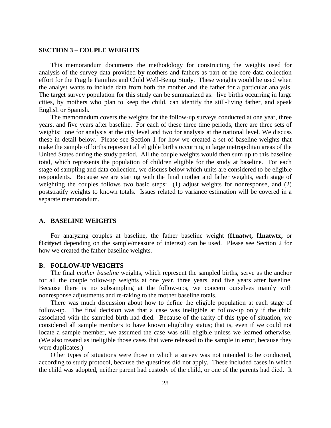#### **SECTION 3 – COUPLE WEIGHTS**

This memorandum documents the methodology for constructing the weights used for analysis of the survey data provided by mothers and fathers as part of the core data collection effort for the Fragile Families and Child Well-Being Study. These weights would be used when the analyst wants to include data from both the mother and the father for a particular analysis. The target survey population for this study can be summarized as: live births occurring in large cities, by mothers who plan to keep the child, can identify the still-living father, and speak English or Spanish.

The memorandum covers the weights for the follow-up surveys conducted at one year, three years, and five years after baseline. For each of these three time periods, there are three sets of weights: one for analysis at the city level and two for analysis at the national level. We discuss these in detail below. Please see Section 1 for how we created a set of baseline weights that make the sample of births represent all eligible births occurring in large metropolitan areas of the United States during the study period. All the couple weights would then sum up to this baseline total, which represents the population of children eligible for the study at baseline. For each stage of sampling and data collection, we discuss below which units are considered to be eligible respondents. Because we are starting with the final mother and father weights, each stage of weighting the couples follows two basic steps: (1) adjust weights for nonresponse, and (2) poststratify weights to known totals. Issues related to variance estimation will be covered in a separate memorandum.

#### **A. BASELINE WEIGHTS**

For analyzing couples at baseline, the father baseline weight (**f1natwt, f1natwtx,** or **f1citywt** depending on the sample/measure of interest) can be used. Please see Section 2 for how we created the father baseline weights.

#### **B. FOLLOW-UP WEIGHTS**

The final *mother baseline* weights, which represent the sampled births, serve as the anchor for all the couple follow-up weights at one year, three years, and five years after baseline. Because there is no subsampling at the follow-ups, we concern ourselves mainly with nonresponse adjustments and re-raking to the mother baseline totals.

There was much discussion about how to define the eligible population at each stage of follow-up. The final decision was that a case was ineligible at follow-up only if the child associated with the sampled birth had died. Because of the rarity of this type of situation, we considered all sample members to have known eligibility status; that is, even if we could not locate a sample member, we assumed the case was still eligible unless we learned otherwise. (We also treated as ineligible those cases that were released to the sample in error, because they were duplicates.)

Other types of situations were those in which a survey was not intended to be conducted, according to study protocol, because the questions did not apply. These included cases in which the child was adopted, neither parent had custody of the child, or one of the parents had died. It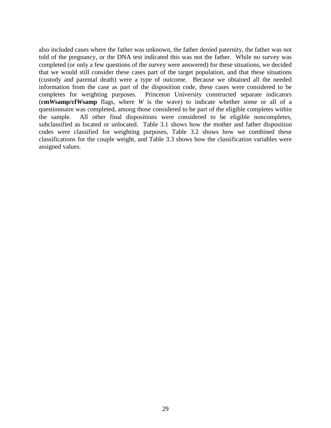also included cases where the father was unknown, the father denied paternity, the father was not told of the pregnancy, or the DNA test indicated this was not the father. While no survey was completed (or only a few questions of the survey were answered) for these situations, we decided that we would still consider these cases part of the target population, and that these situations (custody and parental death) were a type of outcome. Because we obtained all the needed information from the case as part of the disposition code, these cases were considered to be completes for weighting purposes. Princeton University constructed separate indicators (**cm***W***samp/cf***W***samp** flags, where *W* is the wave) to indicate whether some or all of a questionnaire was completed, among those considered to be part of the eligible completes within the sample. All other final dispositions were considered to be eligible noncompletes, subclassified as located or unlocated. Table 3.1 shows how the mother and father disposition codes were classified for weighting purposes, Table 3.2 shows how we combined these classifications for the couple weight, and Table 3.3 shows how the classification variables were assigned values.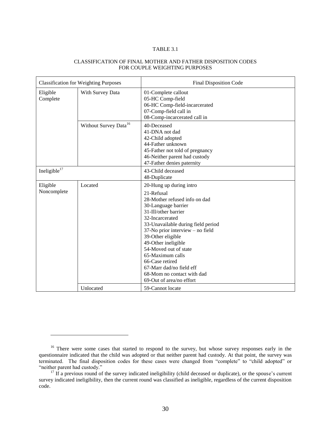#### CLASSIFICATION OF FINAL MOTHER AND FATHER DISPOSITION CODES FOR COUPLE WEIGHTING PURPOSES

| <b>Classification for Weighting Purposes</b> |                                   | Final Disposition Code                                                                                                                                                                                                                                                                                                                                                                                               |
|----------------------------------------------|-----------------------------------|----------------------------------------------------------------------------------------------------------------------------------------------------------------------------------------------------------------------------------------------------------------------------------------------------------------------------------------------------------------------------------------------------------------------|
| Eligible<br>Complete                         | With Survey Data                  | 01-Complete callout<br>05-HC Comp-field<br>06-HC Comp-field-incarcerated<br>07-Comp-field call in<br>08-Comp-incarcerated call in                                                                                                                                                                                                                                                                                    |
|                                              | Without Survey Data <sup>16</sup> | 40-Deceased<br>41-DNA not dad<br>42-Child adopted<br>44-Father unknown<br>45-Father not told of pregnancy<br>46-Neither parent had custody<br>47-Father denies paternity                                                                                                                                                                                                                                             |
| Ineligible $17$                              |                                   | 43-Child deceased<br>48-Duplicate                                                                                                                                                                                                                                                                                                                                                                                    |
| Eligible<br>Noncomplete                      | Located                           | 20-Hung up during intro<br>21-Refusal<br>28-Mother refused info on dad<br>30-Language barrier<br>31-Ill/other barrier<br>32-Incarcerated<br>33-Unavailable during field period<br>37-No prior interview – no field<br>39-Other eligible<br>49-Other ineligible<br>54-Moved out of state<br>65-Maximum calls<br>66-Case retired<br>67-Marr dad/no field eff<br>68-Mom no contact with dad<br>69-Out of area/no effort |
|                                              | Unlocated                         | 59-Cannot locate                                                                                                                                                                                                                                                                                                                                                                                                     |

<sup>&</sup>lt;sup>16</sup> There were some cases that started to respond to the survey, but whose survey responses early in the questionnaire indicated that the child was adopted or that neither parent had custody. At that point, the survey was terminated. The final disposition codes for these cases were changed from "complete" to "child adopted" or "neither parent had custody."

<sup>&</sup>lt;sup>17</sup> If a previous round of the survey indicated ineligibility (child deceased or duplicate), or the spouse's current survey indicated ineligibility, then the current round was classified as ineligible, regardless of the current disposition code.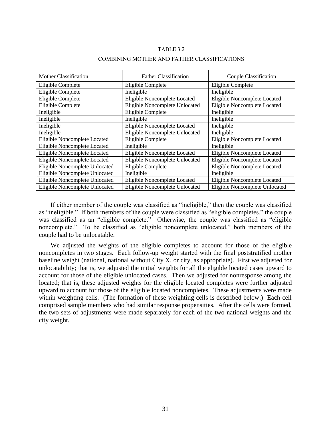| Mother Classification          | <b>Father Classification</b>   | Couple Classification          |
|--------------------------------|--------------------------------|--------------------------------|
| Eligible Complete              | Eligible Complete              | Eligible Complete              |
| Eligible Complete              | Ineligible                     | Ineligible                     |
| Eligible Complete              | Eligible Noncomplete Located   | Eligible Noncomplete Located   |
| Eligible Complete              | Eligible Noncomplete Unlocated | Eligible Noncomplete Located   |
| Ineligible                     | Eligible Complete              | Ineligible                     |
| Ineligible                     | Ineligible                     | Ineligible                     |
| Ineligible                     | Eligible Noncomplete Located   | Ineligible                     |
| Ineligible                     | Eligible Noncomplete Unlocated | Ineligible                     |
| Eligible Noncomplete Located   | Eligible Complete              | Eligible Noncomplete Located   |
| Eligible Noncomplete Located   | Ineligible                     | Ineligible                     |
| Eligible Noncomplete Located   | Eligible Noncomplete Located   | Eligible Noncomplete Located   |
| Eligible Noncomplete Located   | Eligible Noncomplete Unlocated | Eligible Noncomplete Located   |
| Eligible Noncomplete Unlocated | Eligible Complete              | Eligible Noncomplete Located   |
| Eligible Noncomplete Unlocated | Ineligible                     | Ineligible                     |
| Eligible Noncomplete Unlocated | Eligible Noncomplete Located   | Eligible Noncomplete Located   |
| Eligible Noncomplete Unlocated | Eligible Noncomplete Unlocated | Eligible Noncomplete Unlocated |

#### COMBINING MOTHER AND FATHER CLASSIFICATIONS

If either member of the couple was classified as "ineligible," then the couple was classified as "ineligible." If both members of the couple were classified as "eligible completes," the couple was classified as an "eligible complete." Otherwise, the couple was classified as "eligible noncomplete." To be classified as "eligible noncomplete unlocated," both members of the couple had to be unlocatable.

We adjusted the weights of the eligible completes to account for those of the eligible noncompletes in two stages. Each follow-up weight started with the final poststratified mother baseline weight (national, national without City X, or city, as appropriate). First we adjusted for unlocatability; that is, we adjusted the initial weights for all the eligible located cases upward to account for those of the eligible unlocated cases. Then we adjusted for nonresponse among the located; that is, these adjusted weights for the eligible located completes were further adjusted upward to account for those of the eligible located noncompletes. These adjustments were made within weighting cells. (The formation of these weighting cells is described below.) Each cell comprised sample members who had similar response propensities. After the cells were formed, the two sets of adjustments were made separately for each of the two national weights and the city weight.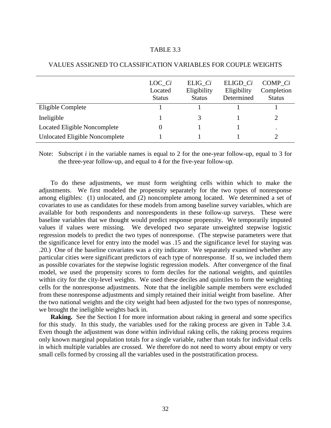|                                       | $LOC\_Ci$<br>Located<br><b>Status</b> | $ELIG_Ci$<br>Eligibility<br><b>Status</b> | ELIGD Ci<br>Eligibility<br>Determined | COMP Ci<br>Completion<br><b>Status</b> |
|---------------------------------------|---------------------------------------|-------------------------------------------|---------------------------------------|----------------------------------------|
| Eligible Complete                     |                                       |                                           |                                       |                                        |
| Ineligible                            |                                       |                                           |                                       |                                        |
| Located Eligible Noncomplete          |                                       |                                           |                                       | $\bullet$                              |
| <b>Unlocated Eligible Noncomplete</b> |                                       |                                           |                                       |                                        |

#### VALUES ASSIGNED TO CLASSIFICATION VARIABLES FOR COUPLE WEIGHTS

Note: Subscript *i* in the variable names is equal to 2 for the one-year follow-up, equal to 3 for the three-year follow-up, and equal to 4 for the five-year follow-up.

To do these adjustments, we must form weighting cells within which to make the adjustments. We first modeled the propensity separately for the two types of nonresponse among eligibles: (1) unlocated, and (2) noncomplete among located. We determined a set of covariates to use as candidates for these models from among baseline survey variables, which are available for both respondents and nonrespondents in these follow-up surveys. These were baseline variables that we thought would predict response propensity. We temporarily imputed values if values were missing. We developed two separate unweighted stepwise logistic regression models to predict the two types of nonresponse. (The stepwise parameters were that the significance level for entry into the model was .15 and the significance level for staying was .20.) One of the baseline covariates was a city indicator. We separately examined whether any particular cities were significant predictors of each type of nonresponse. If so, we included them as possible covariates for the stepwise logistic regression models. After convergence of the final model, we used the propensity scores to form deciles for the national weights, and quintiles within city for the city-level weights. We used these deciles and quintiles to form the weighting cells for the nonresponse adjustments. Note that the ineligible sample members were excluded from these nonresponse adjustments and simply retained their initial weight from baseline. After the two national weights and the city weight had been adjusted for the two types of nonresponse, we brought the ineligible weights back in.

**Raking.** See the Section I for more information about raking in general and some specifics for this study. In this study, the variables used for the raking process are given in Table 3.4. Even though the adjustment was done within individual raking cells, the raking process requires only known marginal population totals for a single variable, rather than totals for individual cells in which multiple variables are crossed. We therefore do not need to worry about empty or very small cells formed by crossing all the variables used in the poststratification process.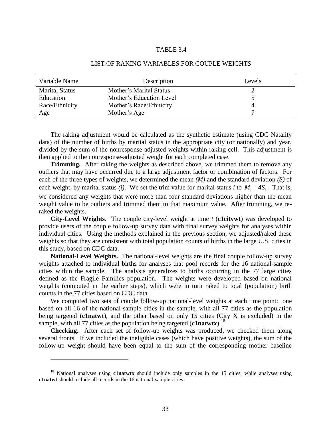| Variable Name         | Description              | Levels |
|-----------------------|--------------------------|--------|
| <b>Marital Status</b> | Mother's Marital Status  |        |
| Education             | Mother's Education Level |        |
| Race/Ethnicity        | Mother's Race/Ethnicity  |        |
| Age                   | Mother's Age             |        |

#### LIST OF RAKING VARIABLES FOR COUPLE WEIGHTS

The raking adjustment would be calculated as the synthetic estimate (using CDC Natality data) of the number of births by marital status in the appropriate city (or nationally) and year, divided by the sum of the nonresponse-adjusted weights within raking cell. This adjustment is then applied to the nonresponse-adjusted weight for each completed case.

**Trimming.** After raking the weights as described above, we trimmed them to remove any outliers that may have occurred due to a large adjustment factor or combination of factors. For each of the three types of weights, we determined the mean *(M)* and the standard deviation *(S)* of each weight, by marital status *(i)*. We set the trim value for marital status *i* to  $M_i + 4S_i$ . That is, we considered any weights that were more than four standard deviations higher than the mean weight value to be outliers and trimmed them to that maximum value. After trimming, we reraked the weights.

**City-Level Weights.** The couple city-level weight at time *t* (**c1citywt**) was developed to provide users of the couple follow-up survey data with final survey weights for analyses within individual cities. Using the methods explained in the previous section, we adjusted/raked these weights so that they are consistent with total population counts of births in the large U.S. cities in this study, based on CDC data.

**National-Level Weights.** The national-level weights are the final couple follow-up survey weights attached to individual births for analyses that pool records for the 16 national-sample cities within the sample. The analysis generalizes to births occurring in the 77 large cities defined as the Fragile Families population. The weights were developed based on national weights (computed in the earlier steps), which were in turn raked to total (population) birth counts in the 77 cities based on CDC data.

We computed two sets of couple follow-up national-level weights at each time point: one based on all 16 of the national-sample cities in the sample, with all 77 cities as the population being targeted (**c1natwt**), and the other based on only 15 cities (City X is excluded) in the sample, with all 77 cities as the population being targeted (**c1natwtx**).<sup>18</sup>

**Checking.** After each set of follow-up weights was produced, we checked them along several fronts. If we included the ineligible cases (which have positive weights), the sum of the follow-up weight should have been equal to the sum of the corresponding mother baseline

<sup>&</sup>lt;sup>18</sup> National analyses using **c1natwtx** should include only samples in the 15 cities, while analyses using **c1natwt** should include all records in the 16 national-sample cities.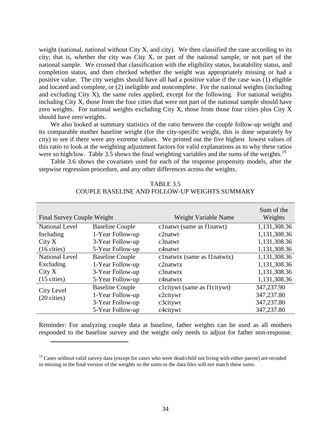weight (national, national without City X, and city). We then classified the case according to its city; that is, whether the city was City X, or part of the national sample, or not part of the national sample. We crossed that classification with the eligibility status, locatability status, and completion status, and then checked whether the weight was appropriately missing or had a positive value. The city weights should have all had a positive value if the case was (1) eligible and located and complete, or (2) ineligible and noncomplete. For the national weights (including and excluding City X), the same rules applied, except for the following. For national weights including City X, those from the four cities that were not part of the national sample should have zero weights. For national weights excluding City X, those from those four cities plus City X should have zero weights.

We also looked at summary statistics of the ratio between the couple follow-up weight and its comparable mother baseline weight (for the city-specific weight, this is done separately by city) to see if there were any extreme values. We printed out the five highest lowest values of this ratio to look at the weighting adjustment factors for valid explanations as to why these ratios were so high/low. Table 3.5 shows the final weighting variables and the sums of the weights.<sup>19</sup>

Table 3.6 shows the covariates used for each of the response propensity models, after the stepwise regression procedure, and any other differences across the weights.

| <b>Final Survey Couple Weight</b> |                        | Weight Variable Name          | Sum of the<br>Weights |
|-----------------------------------|------------------------|-------------------------------|-----------------------|
| <b>National Level</b>             | <b>Baseline Couple</b> | clnatwt (same as flnatwt)     | 1,131,308.36          |
| Including                         | 1-Year Follow-up       | c2natwt                       | 1,131,308.36          |
| City X                            | 3-Year Follow-up       | $c3$ natwt                    | 1,131,308.36          |
| $(16 \text{ cities})$             | 5-Year Follow-up       | c4natwt                       | 1,131,308.36          |
| <b>National Level</b>             | <b>Baseline Couple</b> | clnatwtx (same as flnatwtx)   | 1,131,308.36          |
| Excluding                         | 1-Year Follow-up       | c2natwtx                      | 1,131,308.36          |
| City X                            | 3-Year Follow-up       | $c3$ natwtx                   | 1,131,308.36          |
| $(15 \text{ cities})$             | 5-Year Follow-up       | c4natwtx                      | 1,131,308.36          |
| City Level                        | <b>Baseline Couple</b> | cloity wt (same as floity wt) | 347,237.90            |
| $(20 \text{ cities})$             | 1-Year Follow-up       | c2citywt                      | 347,237.80            |
|                                   | 3-Year Follow-up       | c3citywt                      | 347,237.80            |
|                                   | 5-Year Follow-up       | c4citywt                      | 347,237.80            |

TABLE 3.5 COUPLE BASELINE AND FOLLOW-UP WEIGHTS SUMMARY

Reminder: For analyzing couple data at baseline, father weights can be used as all mothers responded to the baseline survey and the weight only needs to adjust for father non-response.

 $19$  Cases without valid survey data (except for cases who were dead/child not living with either parent) are recoded to missing in the final version of the weights so the sums in the data files will not match these sums.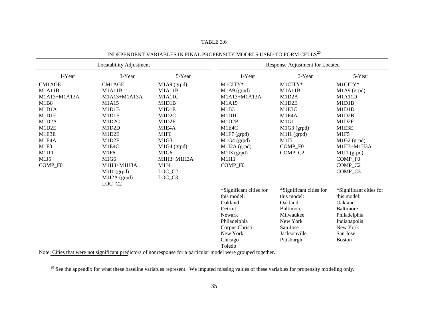| Locatability Adjustment |                    |                    | Response Adjustment for Located                                                                                |                         |                         |  |
|-------------------------|--------------------|--------------------|----------------------------------------------------------------------------------------------------------------|-------------------------|-------------------------|--|
| 1-Year                  | 3-Year             | 5-Year             | 1-Year                                                                                                         | 3-Year                  | 5-Year                  |  |
| CM1AGE                  | <b>CM1AGE</b>      | M1A9 (grpd)        | M1CITY*                                                                                                        | M1CITY*                 | M1CITY*                 |  |
| M1A11B                  | M1A11B             | M1A11B             | $M1A9$ (grpd)                                                                                                  | M1A11B                  | M1A9 (grpd)             |  |
| M1A13+M1A13A            | M1A13+M1A13A       | M1A11C             | M1A13+M1A13A                                                                                                   | M1D2A                   | <b>M1A11D</b>           |  |
| M1B8                    | M1A15              | M1D1B              | M1A15                                                                                                          | M1D2E                   | M1D1B                   |  |
| M1D1A                   | M1D1B              | M1D1E              | M1B3                                                                                                           | M1E3C                   | M1D1D                   |  |
| M1D1F                   | M1D1F              | M1D2C              | M1D1C                                                                                                          | M1E4A                   | M1D2B                   |  |
| M1D2A                   | M1D2C              | M1D2F              | M1D2B                                                                                                          | M1G1                    | M1D2F                   |  |
| M1D2E                   | M1D2D              | M1E4A              | M1E4C                                                                                                          | M1G3 (grpd)             | M1E3E                   |  |
| M1E3E                   | M1D2E              | M1F6               | M1F7 (grpd)                                                                                                    | M1I1 (grpd)             | M1F5                    |  |
| M1E4A                   | M1D2F              | M1G3               | M1G4 (grpd)                                                                                                    | M1J5                    | M1G2 (grpd)             |  |
| M1F3                    | M1E4C              | M1G4 (grpd)        | M1I2A (grpd)                                                                                                   | COMP F0                 | $M1H3+M1H3A$            |  |
| M1I11                   | M1F6               | M1G6               | M1I3 (grpd)                                                                                                    | COMP_C2                 | $M111$ (grpd)           |  |
| M1J5                    | M1G6               | M1H3+M1H3A         | M1I11                                                                                                          |                         | COMP F0                 |  |
| COMP_F0                 | M1H3+M1H3A         | M1J4               | COMP F0                                                                                                        |                         | COMP C <sub>2</sub>     |  |
|                         | $M1I1$ (grpd)      | LOC_C <sub>2</sub> |                                                                                                                |                         | COMP_C3                 |  |
|                         | M1I2A (grpd)       | LOC_C3             |                                                                                                                |                         |                         |  |
|                         | LOC_C <sub>2</sub> |                    |                                                                                                                |                         |                         |  |
|                         |                    |                    | *Significant cities for                                                                                        | *Significant cities for | *Significant cities for |  |
|                         |                    |                    | this model:                                                                                                    | this model:             | this model:             |  |
|                         |                    |                    | Oakland                                                                                                        | Oakland                 | Oakland                 |  |
|                         |                    |                    | Detroit                                                                                                        | <b>Baltimore</b>        | <b>Baltimore</b>        |  |
|                         |                    |                    | Newark                                                                                                         | Milwaukee               | Philadelphia            |  |
|                         |                    |                    | Philadelphia                                                                                                   | New York                | Indianapolis            |  |
|                         |                    |                    | Corpus Christi                                                                                                 | San Jose                | New York                |  |
|                         |                    |                    | New York                                                                                                       | Jacksonville            | San Jose                |  |
|                         |                    |                    | Chicago                                                                                                        | Pittsburgh              | <b>Boston</b>           |  |
|                         |                    |                    | Toledo                                                                                                         |                         |                         |  |
|                         |                    |                    | Note: Cities that were not significant predictors of nonresponse for a particular model were grouped together. |                         |                         |  |

TABLE 3.6

INDEPENDENT VARIABLES IN FINAL PROPENSITY MODELS USED TO FORM CELLS  $^{20}$ 

<sup>20</sup> See the appendix for what these baseline variables represent. We imputed missing values of these variables for propensity modeling only.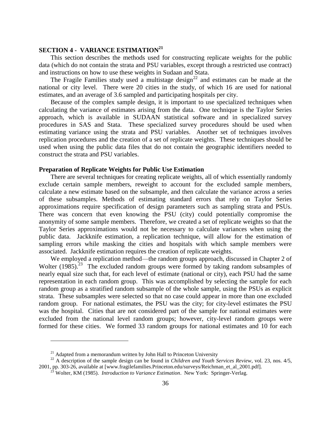## **SECTION 4 - VARIANCE ESTIMATION<sup>21</sup>**

This section describes the methods used for constructing replicate weights for the public data (which do not contain the strata and PSU variables, except through a restricted use contract) and instructions on how to use these weights in Sudaan and Stata.

The Fragile Families study used a multistage design<sup>22</sup> and estimates can be made at the national or city level. There were 20 cities in the study, of which 16 are used for national estimates, and an average of 3.6 sampled and participating hospitals per city.

Because of the complex sample design, it is important to use specialized techniques when calculating the variance of estimates arising from the data. One technique is the Taylor Series approach, which is available in SUDAAN statistical software and in specialized survey procedures in SAS and Stata. These specialized survey procedures should be used when estimating variance using the strata and PSU variables. Another set of techniques involves replication procedures and the creation of a set of replicate weights. These techniques should be used when using the public data files that do not contain the geographic identifiers needed to construct the strata and PSU variables.

#### **Preparation of Replicate Weights for Public Use Estimation**

There are several techniques for creating replicate weights, all of which essentially randomly exclude certain sample members, reweight to account for the excluded sample members, calculate a new estimate based on the subsample, and then calculate the variance across a series of these subsamples. Methods of estimating standard errors that rely on Taylor Series approximations require specification of design parameters such as sampling strata and PSUs. There was concern that even knowing the PSU (city) could potentially compromise the anonymity of some sample members. Therefore, we created a set of replicate weights so that the Taylor Series approximations would not be necessary to calculate variances when using the public data. Jackknife estimation, a replication technique, will allow for the estimation of sampling errors while masking the cities and hospitals with which sample members were associated. Jackknife estimation requires the creation of replicate weights.

We employed a replication method—the random groups approach, discussed in Chapter 2 of Wolter  $(1985)$ .<sup>23</sup> The excluded random groups were formed by taking random subsamples of nearly equal size such that, for each level of estimate (national or city), each PSU had the same representation in each random group. This was accomplished by selecting the sample for each random group as a stratified random subsample of the whole sample, using the PSUs as explicit strata. These subsamples were selected so that no case could appear in more than one excluded random group. For national estimates, the PSU was the city; for city-level estimates the PSU was the hospital. Cities that are not considered part of the sample for national estimates were excluded from the national level random groups; however, city-level random groups were formed for these cities. We formed 33 random groups for national estimates and 10 for each

 $21$  Adapted from a memorandum written by John Hall to Princeton University

<sup>22</sup> A description of the sample design can be found in *Children and Youth Services Review*, vol. 23, nos. 4/5, 2001, pp. 303-26, available at [www.fragilefamilies.Princeton.edu/surveys/Reichman\_et\_al\_2001.pdf].

<sup>23</sup> Wolter, KM (1985). *Introduction to Variance Estimation*. New York: Springer-Verlag.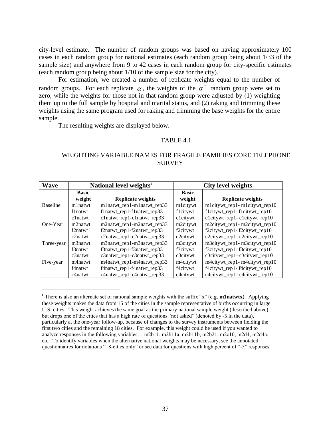city-level estimate. The number of random groups was based on having approximately 100 cases in each random group for national estimates (each random group being about 1/33 of the sample size) and anywhere from 9 to 42 cases in each random group for city-specific estimates (each random group being about 1/10 of the sample size for the city).

For estimation, we created a number of replicate weights equal to the number of random groups. For each replicate  $\alpha$ , the weights of the  $\alpha^{th}$  random group were set to zero, while the weights for those not in that random group were adjusted by (1) weighting them up to the full sample by hospital and marital status, and (2) raking and trimming these weights using the same program used for raking and trimming the base weights for the entire sample.

The resulting weights are displayed below.

 $\overline{a}$ 

## TABLE 4.1

#### WEIGHTING VARIABLE NAMES FOR FRAGILE FAMILIES CORE TELEPHONE **SURVEY**

| <b>Wave</b>     | National level weights <sup>1</sup> |                            |                        | <b>City level weights</b>     |
|-----------------|-------------------------------------|----------------------------|------------------------|-------------------------------|
|                 | <b>Basic</b><br>weight              | <b>Replicate weights</b>   | <b>Basic</b><br>weight | <b>Replicate weights</b>      |
| <b>Baseline</b> | m1natwt                             | mlnatwt_rep1-mlnatwt_rep33 | mlcitywt               | mlcitywt_rep1-mlcitywt_rep10  |
|                 | f1natwt                             | flnatwt_rep1-flnatwt_rep33 | flcitywt               | flcitywt_rep1-flcitywt_rep10  |
|                 | $c1$ natwt                          | clnatwt_rep1-clnatwt_rep33 | clcitywt               | clcitywt_rep1-clcitywt_rep10  |
| One-Year        | m2natwt                             | m2natwt_rep1-m2natwt_rep33 | m2citywt               | m2citywt_rep1- m2citywt_rep10 |
|                 | f2natwt                             | f2natwt_rep1-f2natwt_rep33 | f2citywt               | f2citywt_rep1-f2citywt_rep10  |
|                 | c2natwt                             | c2natwt_rep1-c2natwt_rep33 | c2citywt               | c2citywt_rep1-c2citywt_rep10  |
| Three-year      | m3natwt                             | m3natwt_rep1-m3natwt_rep33 | m3citywt               | m3citywt_rep1- m3citywt_rep10 |
|                 | f3natwt                             | f3natwt_rep1-f3natwt_rep33 | f3citywt               | f3citywt_rep1-f3citywt_rep10  |
|                 | $c3$ natwt                          | c3natwt_rep1-c3natwt_rep33 | c3citywt               | c3citywt_rep1-c3citywt_rep10  |
| Five-year       | m4natwt                             | m4natwt_rep1-m4natwt_rep33 | m4citywt               | m4citywt_rep1- m4citywt_rep10 |
|                 | f4natwt                             | f4natwt_rep1-f4natwt_rep33 | f4citywt               | f4citywt_rep1-f4citywt_rep10  |
|                 | c4natwt                             | c4natwt_rep1-c4natwt_rep33 | c4citywt               | c4citywt_rep1-c4citywt_rep10  |

<sup>&</sup>lt;sup>i</sup> There is also an alternate set of national sample weights with the suffix "x" (e.g, **m1natwtx**). Applying these weights makes the data from 15 of the cities in the sample representative of births occurring in large U.S. cities. This weight achieves the same goal as the primary national sample weight (described above) but drops one of the cities that has a high rate of questions "not asked" (denoted by -5 in the data), particularly at the one-year follow-up, because of changes to the survey instruments between fielding the first two cities and the remaining 18 cities. For example, this weight could be used if you wanted to analyze responses in the following variables… m2b11, m2b11a, m2b11b, m2b21, m2c10, m2d4, m2d4a, etc. To identify variables when the alternative national weights may be necessary, see the annotated questionnaires for notations "18-cities only" or see data for questions with high percent of "-5" responses.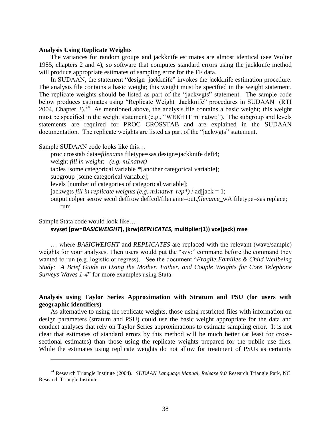#### **Analysis Using Replicate Weights**

The variances for random groups and jackknife estimates are almost identical (see Wolter 1985, chapters 2 and 4), so software that computes standard errors using the jackknife method will produce appropriate estimates of sampling error for the FF data.

In SUDAAN, the statement "design=jackknife" invokes the jackknife estimation procedure. The analysis file contains a basic weight; this weight must be specified in the weight statement. The replicate weights should be listed as part of the "jackwgts" statement. The sample code below produces estimates using "Replicate Weight Jackknife" procedures in SUDAAN (RTI 2004, Chapter 3).<sup>24</sup> As mentioned above, the analysis file contains a basic weight; this weight must be specified in the weight statement (e.g., "WEIGHT m1natwt;"). The subgroup and levels statements are required for PROC CROSSTAB and are explained in the SUDAAN documentation. The replicate weights are listed as part of the "jackwgts" statement.

Sample SUDAAN code looks like this…

proc crosstab data=*filename* filetype=sas design=jackknife deft4; weight *fill in weight*; *(e.g. m1natwt)* tables [some categorical variable]\*[another categorical variable]; subgroup [some categorical variable]; levels [number of categories of categorical variable]; jackwgts *fill in replicate weights (e.g. m1natwt\_rep\*)* / adjjack = 1; output colper serow secol deffrow deffcol/filename=out.*filename*\_wA filetype=sas replace; run;

Sample Stata code would look like…

 $\overline{a}$ 

## **svyset [pw=***BASICWEIGHT***], jkrw(***REPLICATES***, multiplier(1)) vce(jack) mse**

… where *BASICWEIGHT* and *REPLICATES* are replaced with the relevant (wave/sample) weights for your analyses. Then users would put the "svy:" command before the command they wanted to run (e.g. logistic or regress). See the document "*Fragile Families & Child Wellbeing Study: A Brief Guide to Using the Mother, Father, and Couple Weights for Core Telephone Surveys Waves 1-4*" for more examples using Stata.

## **Analysis using Taylor Series Approximation with Stratum and PSU (for users with geographic identifiers)**

As alternative to using the replicate weights, those using restricted files with information on design parameters (stratum and PSU) could use the basic weight appropriate for the data and conduct analyses that rely on Taylor Series approximations to estimate sampling error. It is not clear that estimates of standard errors by this method will be much better (at least for crosssectional estimates) than those using the replicate weights prepared for the public use files. While the estimates using replicate weights do not allow for treatment of PSUs as certainty

<sup>24</sup> Research Triangle Institute (2004). *SUDAAN Language Manual, Release 9.0* Research Triangle Park, NC: Research Triangle Institute.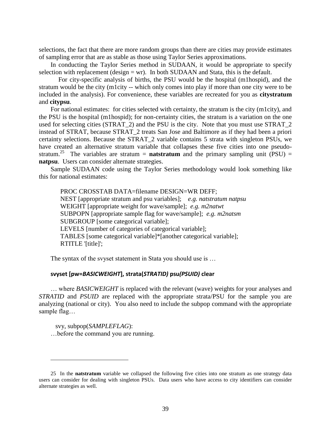selections, the fact that there are more random groups than there are cities may provide estimates of sampling error that are as stable as those using Taylor Series approximations.

In conducting the Taylor Series method in SUDAAN, it would be appropriate to specify selection with replacement (design  $=$  wr). In both SUDAAN and Stata, this is the default.

For city-specific analysis of births, the PSU would be the hospital (m1hospid), and the stratum would be the city (m1city -- which only comes into play if more than one city were to be included in the analysis). For convenience, these variables are recreated for you as **citystratum** and **citypsu**.

For national estimates: for cities selected with certainty, the stratum is the city (m1city), and the PSU is the hospital (m1hospid); for non-certainty cities, the stratum is a variation on the one used for selecting cities (STRAT\_2) and the PSU is the city. Note that you must use STRAT\_2 instead of STRAT, because STRAT\_2 treats San Jose and Baltimore as if they had been a priori certainty selections. Because the STRAT\_2 variable contains 5 strata with singleton PSUs, we have created an alternative stratum variable that collapses these five cities into one pseudostratum.<sup>25</sup> The variables are stratum = **natstratum** and the primary sampling unit (PSU) = **natpsu**. Users can consider alternate strategies.

Sample SUDAAN code using the Taylor Series methodology would look something like this for national estimates:

PROC CROSSTAB DATA=filename DESIGN=WR DEFF; NEST [appropriate stratum and psu variables]; *e.g. natstratum natpsu* WEIGHT [appropriate weight for wave/sample]; *e.g. m2natwt* SUBPOPN [appropriate sample flag for wave/sample]; *e.g. m2natsm* SUBGROUP [some categorical variable]; LEVELS [number of categories of categorical variable]; TABLES [some categorical variable]\*[another categorical variable]; RTITLE '[title]';

The syntax of the svyset statement in Stata you should use is …

#### **svyset [pw=***BASICWEIGHT***], strata(***STRATID)* **psu***(PSUID)* **clear**

… where *BASICWEIGHT* is replaced with the relevant (wave) weights for your analyses and *STRATID* and *PSUID* are replaced with the appropriate strata/PSU for the sample you are analyzing (national or city). You also need to include the subpop command with the appropriate sample flag…

 svy, subpop(*SAMPLEFLAG*): …before the command you are running.

<sup>25</sup> In the **natstratum** variable we collapsed the following five cities into one stratum as one strategy data users can consider for dealing with singleton PSUs. Data users who have access to city identifiers can consider alternate strategies as well.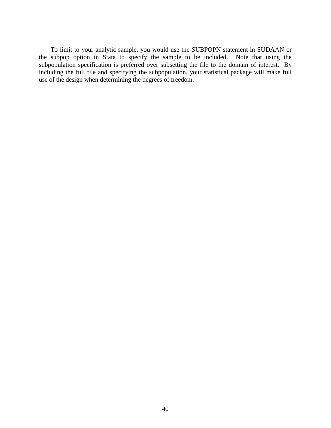To limit to your analytic sample, you would use the SUBPOPN statement in SUDAAN or the subpop option in Stata to specify the sample to be included. Note that using the subpopulation specification is preferred over subsetting the file to the domain of interest. By including the full file and specifying the subpopulation, your statistical package will make full use of the design when determining the degrees of freedom.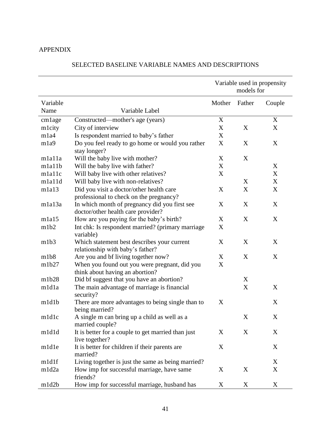## APPENDIX

|                    |                                                                                     |             | Variable used in propensity<br>models for |             |  |
|--------------------|-------------------------------------------------------------------------------------|-------------|-------------------------------------------|-------------|--|
| Variable           |                                                                                     | Mother      | Father                                    | Couple      |  |
| Name               | Variable Label                                                                      |             |                                           |             |  |
| cmlage             | Constructed—mother's age (years)                                                    | $\mathbf X$ |                                           | X           |  |
| mlcity             | City of interview                                                                   | $\mathbf X$ | X                                         | X           |  |
| m1a4               | Is respondent married to baby's father                                              | X           |                                           |             |  |
| m1a9               | Do you feel ready to go home or would you rather<br>stay longer?                    | X           | X                                         | X           |  |
| mlalla             | Will the baby live with mother?                                                     | X           | X                                         |             |  |
| mla11b             | Will the baby live with father?                                                     | X           |                                           | X           |  |
| mlallc             | Will baby live with other relatives?                                                | X           |                                           | X           |  |
| mla11d             | Will baby live with non-relatives?                                                  |             | X                                         | X           |  |
| m <sub>1a13</sub>  | Did you visit a doctor/other health care<br>professional to check on the pregnancy? | X           | X                                         | X           |  |
| m <sub>1a13a</sub> | In which month of pregnancy did you first see<br>doctor/other health care provider? | X           | X                                         | X           |  |
| m1a15              | How are you paying for the baby's birth?                                            | X           | X                                         | X           |  |
| m1b2               | Int chk: Is respondent married? (primary marriage<br>variable)                      | X           |                                           |             |  |
| m1b3               | Which statement best describes your current<br>relationship with baby's father?     | X           | X                                         | X           |  |
| m1b8               | Are you and bf living together now?                                                 | X           | X                                         | X           |  |
| m1b27              | When you found out you were pregnant, did you<br>think about having an abortion?    | X           |                                           |             |  |
| m1b28              | Did bf suggest that you have an abortion?                                           |             | X                                         |             |  |
| m1d1a              | The main advantage of marriage is financial<br>security?                            |             | X                                         | X           |  |
| m1d1b              | There are more advantages to being single than to<br>being married?                 | X           |                                           | X           |  |
| m1d1c              | A single m can bring up a child as well as a<br>married couple?                     |             | $\mathbf X$                               | $\mathbf X$ |  |
| m1d1d              | It is better for a couple to get married than just<br>live together?                | X           | X                                         | X           |  |
| m1d1e              | It is better for children if their parents are<br>married?                          | X           |                                           | X           |  |
| m1d1f              | Living together is just the same as being married?                                  |             |                                           | X           |  |
| m1d2a              | How imp for successful marriage, have same<br>friends?                              | X           | X                                         | X           |  |
| m1d2b              | How imp for successful marriage, husband has                                        | X           | $\mathbf X$                               | X           |  |

## SELECTED BASELINE VARIABLE NAMES AND DESCRIPTIONS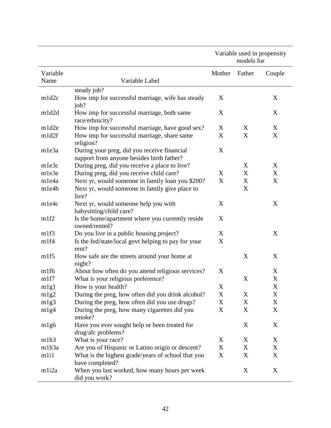|                   |                                                                                          |                  | Variable used in propensity<br>models for |             |
|-------------------|------------------------------------------------------------------------------------------|------------------|-------------------------------------------|-------------|
| Variable          |                                                                                          | Mother           | Father                                    | Couple      |
| Name              | Variable Label                                                                           |                  |                                           |             |
|                   | steady job?                                                                              |                  |                                           |             |
| m1d2c             | How imp for successful marriage, wife has steady<br>job?                                 | X                |                                           | X           |
| m1d2d             | How imp for successful marriage, both same<br>race/ethnicity?                            | X                |                                           | X           |
| m1d2e             | How imp for successful marriage, have good sex?                                          | X                | X                                         | X           |
| m1d2f             | How imp for successful marriage, share same<br>religion?                                 | $\boldsymbol{X}$ | X                                         | X           |
| m1e3a             | During your preg, did you receive financial<br>support from anyone besides birth father? | X                |                                           |             |
| m1e3c             | During preg, did you receive a place to live?                                            |                  | X                                         | X           |
| m1e3e             | During preg, did you receive child care?                                                 | X                | X                                         | X           |
| m1e4a             | Next yr, would someone in family loan you \$200?                                         | X                | X                                         | X           |
| m1e4b             | Next yr, would someone in family give place to<br>live?                                  |                  | X                                         |             |
| m1e4c             | Next yr, would someone help you with<br>babysitting/child care?                          | $\boldsymbol{X}$ |                                           | X           |
| m1f2              | Is the home/apartment where you currently reside<br>owned/rented?                        | X                |                                           |             |
| m1f3              | Do you live in a public housing project?                                                 | X                |                                           | X           |
| m1f4              | Is the fed/state/local govt helping to pay for your<br>rent?                             | X                |                                           |             |
| m1f5              | How safe are the streets around your home at<br>night?                                   |                  | X                                         | X           |
| m1f6              | About how often do you attend religious services?                                        | X                |                                           | X           |
| m1f7              | What is your religious preference?                                                       |                  | X                                         | X           |
| m1g1              | How is your health?                                                                      | X                |                                           | X           |
| m1g2              | During the preg, how often did you drink alcohol?                                        | $\mathbf X$      | X                                         | X           |
| m1g3              | During the preg, how often did you use drugs?                                            | X                | X                                         | $\mathbf X$ |
| m1g4              | During the preg, how many cigarettes did you<br>smoke?                                   | $\mathbf X$      | X                                         | $\mathbf X$ |
| m1g6              | Have you ever sought help or been treated for<br>drug/alc problems?                      |                  | X                                         | X           |
| m1h3              | What is your race?                                                                       | X                | X                                         | X           |
| m1h3a             | Are you of Hispanic or Latino origin or descent?                                         | X                | X                                         | X           |
| m <sub>111</sub>  | What is the highest grade/years of school that you<br>have completed?                    | $\mathbf X$      | X                                         | $\mathbf X$ |
| m <sub>1i2a</sub> | When you last worked, how many hours per week<br>did you work?                           |                  | X                                         | $\mathbf X$ |